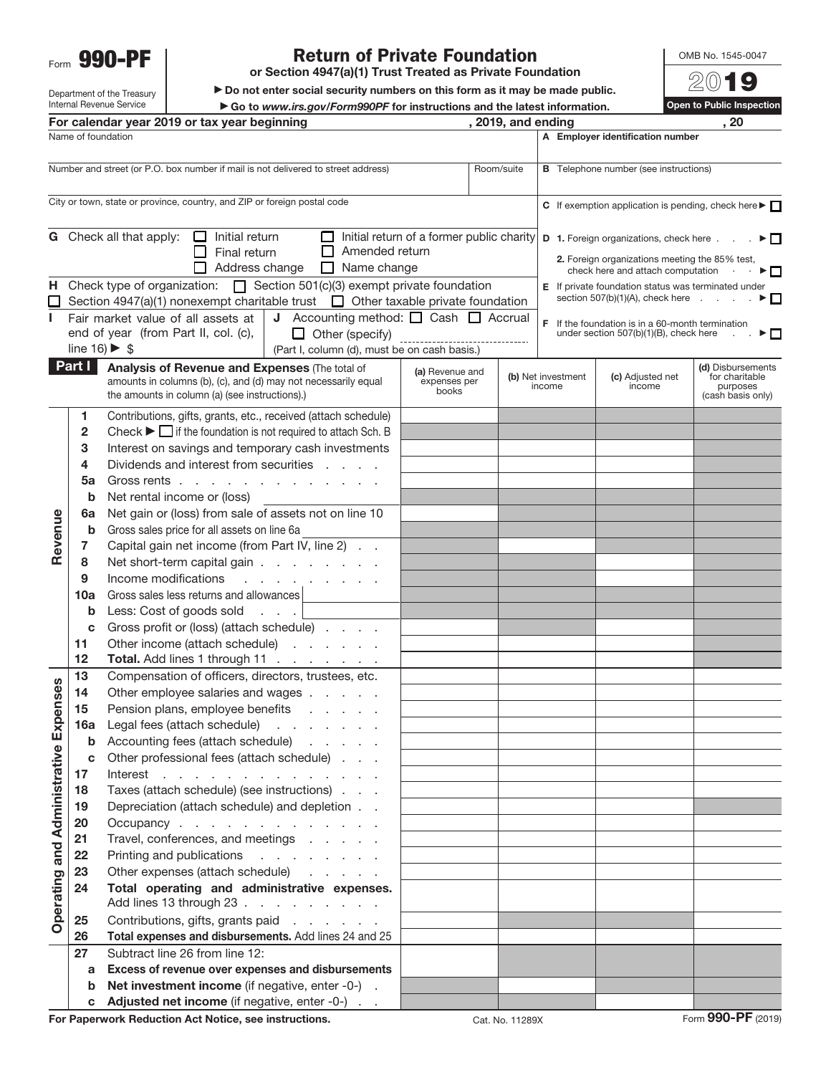Form **990-PF**

## **Return of Private Foundation**

**or Section 4947(a)(1) Trust Treated as Private Foundation**

 $\blacktriangleright$  Do not enter social security numbers on this form as it may be made public. Go to *www.irs.gov/Form990PF* for instructions and the latest information.<br>ear beginning , 2019, and ending

OMB No. 1545-0047

20**19 Open to Public Inspection For calendar year 2019 or tax year beginning , 2019, and ending , 20**

**A Employer identification number**

| Department of the Treasury                       | ı |
|--------------------------------------------------|---|
| Internal Revenue Service                         |   |
| For calendar year 2019 or tax ye                 |   |
| Name of foundation                               |   |
| Number and street (or $P \Omega$ box number if n |   |

| Number and street (or P.O. box number if mail is not delivered to street address)<br>Room/suite |                                                                                                                                                                                               |                                                                                                                                                                                                                                                                                                                                                                                                                                                                                                                                                                                                                                                                                                                                                                                                                                                                                                                                                                                                                                                                                                                                                                                                                                                                                                                                                                                                                                                                                                                                                                                                                                                |                                          |                 |                              | <b>B</b> Telephone number (see instructions)                                   |                                                                      |
|-------------------------------------------------------------------------------------------------|-----------------------------------------------------------------------------------------------------------------------------------------------------------------------------------------------|------------------------------------------------------------------------------------------------------------------------------------------------------------------------------------------------------------------------------------------------------------------------------------------------------------------------------------------------------------------------------------------------------------------------------------------------------------------------------------------------------------------------------------------------------------------------------------------------------------------------------------------------------------------------------------------------------------------------------------------------------------------------------------------------------------------------------------------------------------------------------------------------------------------------------------------------------------------------------------------------------------------------------------------------------------------------------------------------------------------------------------------------------------------------------------------------------------------------------------------------------------------------------------------------------------------------------------------------------------------------------------------------------------------------------------------------------------------------------------------------------------------------------------------------------------------------------------------------------------------------------------------------|------------------------------------------|-----------------|------------------------------|--------------------------------------------------------------------------------|----------------------------------------------------------------------|
| City or town, state or province, country, and ZIP or foreign postal code                        |                                                                                                                                                                                               |                                                                                                                                                                                                                                                                                                                                                                                                                                                                                                                                                                                                                                                                                                                                                                                                                                                                                                                                                                                                                                                                                                                                                                                                                                                                                                                                                                                                                                                                                                                                                                                                                                                |                                          |                 |                              | C If exemption application is pending, check here $\blacktriangleright$ $\Box$ |                                                                      |
| н.<br>L                                                                                         |                                                                                                                                                                                               | <b>G</b> Check all that apply:<br>Initial return of a former public charity $\vert \mathbf{D} \vert$ 1. Foreign organizations, check here $\vert \cdot \vert$ .<br>□<br>Initial return<br>□<br>Amended return<br>Final return<br>$\perp$<br>2. Foreign organizations meeting the 85% test,<br>Address change<br>$\Box$ Name change<br>check here and attach computation .<br>Check type of organization: $\Box$ Section 501(c)(3) exempt private foundation<br><b>E</b> If private foundation status was terminated under<br>section $507(b)(1)(A)$ , check here $\ldots$<br>Section 4947(a)(1) nonexempt charitable trust $\Box$ Other taxable private foundation<br><b>J</b> Accounting method: $\Box$ Cash $\Box$ Accrual<br>Fair market value of all assets at<br>$F$ If the foundation is in a 60-month termination<br>end of year (from Part II, col. (c),<br>$\Box$ Other (specify)<br>under section 507(b)(1)(B), check here<br>-------------------------------<br>line $16$ $\triangleright$ \$<br>(Part I, column (d), must be on cash basis.)                                                                                                                                                                                                                                                                                                                                                                                                                                                                                                                                                                                       |                                          |                 |                              |                                                                                |                                                                      |
|                                                                                                 | Part I                                                                                                                                                                                        | Analysis of Revenue and Expenses (The total of<br>amounts in columns (b), (c), and (d) may not necessarily equal<br>the amounts in column (a) (see instructions).)                                                                                                                                                                                                                                                                                                                                                                                                                                                                                                                                                                                                                                                                                                                                                                                                                                                                                                                                                                                                                                                                                                                                                                                                                                                                                                                                                                                                                                                                             | (a) Revenue and<br>expenses per<br>books |                 | (b) Net investment<br>income | (c) Adjusted net<br>income                                                     | (d) Disbursements<br>for charitable<br>purposes<br>(cash basis only) |
| Revenue<br>Expenses<br>ative<br><b>Operating and Administr</b>                                  | 1.<br>2<br>3<br>4<br>5a<br>b<br>6a<br>b<br>7<br>8<br>9<br>10a<br>b<br>C<br>11<br>12<br>13<br>14<br>15<br>16a<br>b<br>С<br>17<br>18<br>19<br>20<br>21<br>22<br>23<br>24<br>25<br>26<br>27<br>a | Contributions, gifts, grants, etc., received (attach schedule)<br>Check $\blacktriangleright$ $\Box$ if the foundation is not required to attach Sch. B<br>Interest on savings and temporary cash investments<br>Dividends and interest from securities<br>in a control<br>Gross rents<br>Net rental income or (loss)<br>Net gain or (loss) from sale of assets not on line 10<br>Gross sales price for all assets on line 6a<br>Capital gain net income (from Part IV, line 2)<br>Net short-term capital gain<br>Income modifications<br>and a state of the state of<br>Gross sales less returns and allowances<br>Less: Cost of goods sold<br>Gross profit or (loss) (attach schedule)<br>Other income (attach schedule)<br>Total. Add lines 1 through 11<br>Compensation of officers, directors, trustees, etc.<br>Other employee salaries and wages<br>Pension plans, employee benefits<br>Legal fees (attach schedule)<br>and a state of the state<br>Accounting fees (attach schedule)<br>and the company of<br>Other professional fees (attach schedule)<br>Interest<br>Taxes (attach schedule) (see instructions)<br>Depreciation (attach schedule) and depletion<br>Occupancy<br>Travel, conferences, and meetings<br>Printing and publications<br>and the company of the com-<br>Other expenses (attach schedule)<br>Total operating and administrative expenses.<br>Add lines 13 through 23<br>Contributions, gifts, grants paid<br>Total expenses and disbursements. Add lines 24 and 25<br>Subtract line 26 from line 12:<br>Excess of revenue over expenses and disbursements<br>Net investment income (if negative, enter -0-). |                                          |                 |                              |                                                                                |                                                                      |
|                                                                                                 | b<br>С                                                                                                                                                                                        | Adjusted net income (if negative, enter -0-)                                                                                                                                                                                                                                                                                                                                                                                                                                                                                                                                                                                                                                                                                                                                                                                                                                                                                                                                                                                                                                                                                                                                                                                                                                                                                                                                                                                                                                                                                                                                                                                                   |                                          |                 |                              |                                                                                |                                                                      |
|                                                                                                 |                                                                                                                                                                                               | For Paperwork Reduction Act Notice, see instructions.                                                                                                                                                                                                                                                                                                                                                                                                                                                                                                                                                                                                                                                                                                                                                                                                                                                                                                                                                                                                                                                                                                                                                                                                                                                                                                                                                                                                                                                                                                                                                                                          |                                          | Cat. No. 11289X |                              |                                                                                | Form 990-PF (2019)                                                   |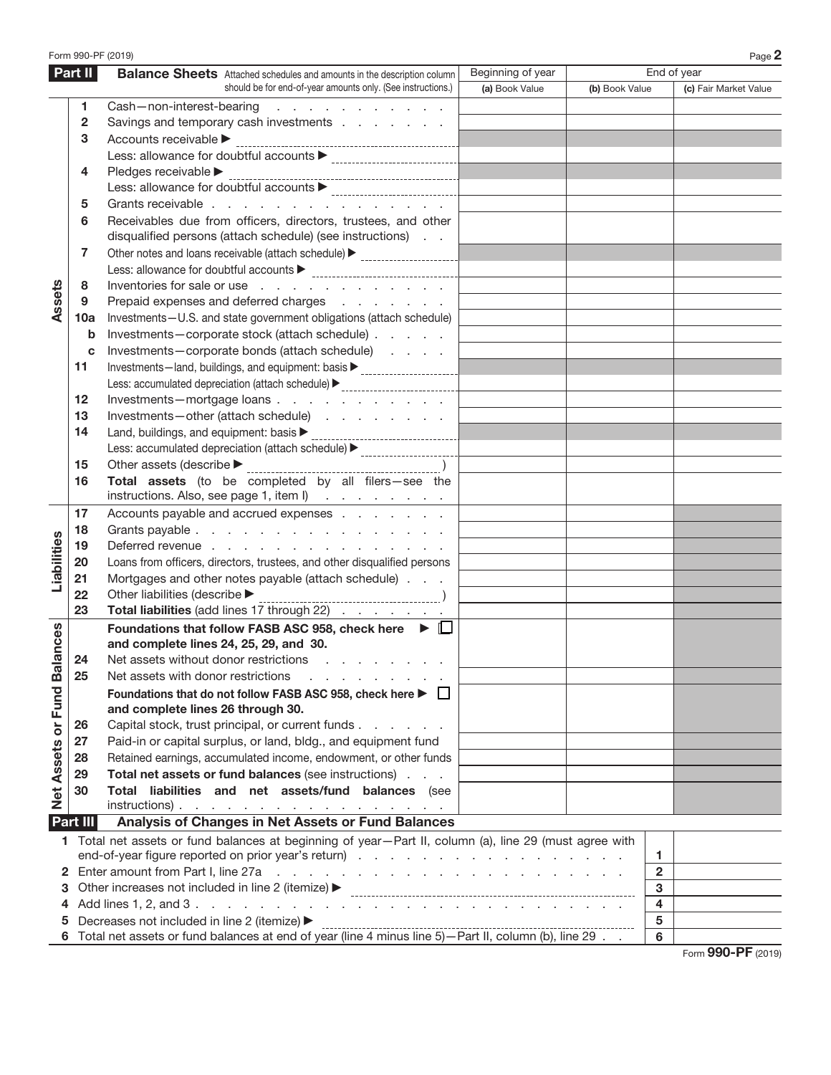|                                                                                                                               | Form 990-PF (2019) |                                                                                                                                                                                                                                                                      |                |                |                         | Page 2                |
|-------------------------------------------------------------------------------------------------------------------------------|--------------------|----------------------------------------------------------------------------------------------------------------------------------------------------------------------------------------------------------------------------------------------------------------------|----------------|----------------|-------------------------|-----------------------|
| Part II<br>End of year<br>Beginning of year<br><b>Balance Sheets</b> Attached schedules and amounts in the description column |                    |                                                                                                                                                                                                                                                                      |                |                |                         |                       |
|                                                                                                                               |                    | should be for end-of-year amounts only. (See instructions.)                                                                                                                                                                                                          | (a) Book Value | (b) Book Value |                         | (c) Fair Market Value |
|                                                                                                                               | 1                  | Cash-non-interest-bearing<br>and the contract of the contract of                                                                                                                                                                                                     |                |                |                         |                       |
|                                                                                                                               | $\mathbf{2}$       | Savings and temporary cash investments                                                                                                                                                                                                                               |                |                |                         |                       |
|                                                                                                                               | 3                  | Accounts receivable                                                                                                                                                                                                                                                  |                |                |                         |                       |
|                                                                                                                               |                    |                                                                                                                                                                                                                                                                      |                |                |                         |                       |
|                                                                                                                               | 4                  | Pledges receivable ▶                                                                                                                                                                                                                                                 |                |                |                         |                       |
|                                                                                                                               |                    |                                                                                                                                                                                                                                                                      |                |                |                         |                       |
|                                                                                                                               | 5                  | Grants receivable                                                                                                                                                                                                                                                    |                |                |                         |                       |
|                                                                                                                               | 6                  | Receivables due from officers, directors, trustees, and other<br>disqualified persons (attach schedule) (see instructions)                                                                                                                                           |                |                |                         |                       |
|                                                                                                                               | 7                  | Other notes and loans receivable (attach schedule) > ___________________________                                                                                                                                                                                     |                |                |                         |                       |
|                                                                                                                               |                    |                                                                                                                                                                                                                                                                      |                |                |                         |                       |
|                                                                                                                               | 8                  | Inventories for sale or use                                                                                                                                                                                                                                          |                |                |                         |                       |
| Assets                                                                                                                        | 9                  | Prepaid expenses and deferred charges                                                                                                                                                                                                                                |                |                |                         |                       |
|                                                                                                                               | 10a                | Investments-U.S. and state government obligations (attach schedule)                                                                                                                                                                                                  |                |                |                         |                       |
|                                                                                                                               | b                  | Investments-corporate stock (attach schedule)                                                                                                                                                                                                                        |                |                |                         |                       |
|                                                                                                                               | c                  | Investments-corporate bonds (attach schedule)                                                                                                                                                                                                                        |                |                |                         |                       |
|                                                                                                                               | 11                 | Investments-land, buildings, and equipment: basis > _____________________________                                                                                                                                                                                    |                |                |                         |                       |
|                                                                                                                               |                    |                                                                                                                                                                                                                                                                      |                |                |                         |                       |
|                                                                                                                               | 12                 | Investments-mortgage loans                                                                                                                                                                                                                                           |                |                |                         |                       |
|                                                                                                                               | 13                 | Investments-other (attach schedule)                                                                                                                                                                                                                                  |                |                |                         |                       |
|                                                                                                                               | 14                 |                                                                                                                                                                                                                                                                      |                |                |                         |                       |
|                                                                                                                               |                    | Less: accumulated depreciation (attach schedule) > _____________________________                                                                                                                                                                                     |                |                |                         |                       |
|                                                                                                                               |                    |                                                                                                                                                                                                                                                                      |                |                |                         |                       |
|                                                                                                                               | 15                 |                                                                                                                                                                                                                                                                      |                |                |                         |                       |
|                                                                                                                               | 16                 | Total assets (to be completed by all filers-see the<br>instructions. Also, see page 1, item I)                                                                                                                                                                       |                |                |                         |                       |
|                                                                                                                               | 17                 | Accounts payable and accrued expenses                                                                                                                                                                                                                                |                |                |                         |                       |
|                                                                                                                               | 18                 | Grants payable                                                                                                                                                                                                                                                       |                |                |                         |                       |
|                                                                                                                               | 19                 | Deferred revenue                                                                                                                                                                                                                                                     |                |                |                         |                       |
|                                                                                                                               | 20                 | Loans from officers, directors, trustees, and other disqualified persons                                                                                                                                                                                             |                |                |                         |                       |
| Liabilities                                                                                                                   | 21                 | Mortgages and other notes payable (attach schedule)                                                                                                                                                                                                                  |                |                |                         |                       |
|                                                                                                                               | 22                 | Other liabilities (describe $\blacktriangleright$                                                                                                                                                                                                                    |                |                |                         |                       |
|                                                                                                                               | 23                 | Total liabilities (add lines 17 through 22)                                                                                                                                                                                                                          |                |                |                         |                       |
| Net Assets or Fund Balances                                                                                                   |                    | Foundations that follow FASB ASC 958, check here $\blacktriangleright \Box$<br>and complete lines 24, 25, 29, and 30.                                                                                                                                                |                |                |                         |                       |
|                                                                                                                               | 24                 | Net assets without donor restrictions                                                                                                                                                                                                                                |                |                |                         |                       |
|                                                                                                                               | 25                 | Net assets with donor restrictions                                                                                                                                                                                                                                   |                |                |                         |                       |
|                                                                                                                               |                    | Foundations that do not follow FASB ASC 958, check here ▶ □<br>and complete lines 26 through 30.                                                                                                                                                                     |                |                |                         |                       |
|                                                                                                                               | 26                 | Capital stock, trust principal, or current funds                                                                                                                                                                                                                     |                |                |                         |                       |
|                                                                                                                               | 27                 | Paid-in or capital surplus, or land, bldg., and equipment fund                                                                                                                                                                                                       |                |                |                         |                       |
|                                                                                                                               | 28                 | Retained earnings, accumulated income, endowment, or other funds                                                                                                                                                                                                     |                |                |                         |                       |
|                                                                                                                               | 29                 | Total net assets or fund balances (see instructions)                                                                                                                                                                                                                 |                |                |                         |                       |
|                                                                                                                               | 30                 | Total liabilities and net assets/fund balances (see                                                                                                                                                                                                                  |                |                |                         |                       |
|                                                                                                                               |                    | $instructions)$ .                                                                                                                                                                                                                                                    |                |                |                         |                       |
|                                                                                                                               | Part III           | Analysis of Changes in Net Assets or Fund Balances                                                                                                                                                                                                                   |                |                |                         |                       |
|                                                                                                                               |                    | 1 Total net assets or fund balances at beginning of year-Part II, column (a), line 29 (must agree with                                                                                                                                                               |                |                |                         |                       |
|                                                                                                                               |                    |                                                                                                                                                                                                                                                                      |                |                | 1.                      |                       |
| 2                                                                                                                             |                    | Enter amount from Part I, line 27a<br>and the contract of the contract of the contract of the contract of the contract of the contract of the contract of the contract of the contract of the contract of the contract of the contract of the contract of the contra |                |                | $\overline{2}$          |                       |
| 3                                                                                                                             |                    | Other increases not included in line 2 (itemize) ▶                                                                                                                                                                                                                   |                |                | 3                       |                       |
| 4                                                                                                                             |                    |                                                                                                                                                                                                                                                                      |                |                | $\overline{\mathbf{4}}$ |                       |
| 5                                                                                                                             |                    | Decreases not included in line 2 (itemize) ▶                                                                                                                                                                                                                         |                |                | 5                       |                       |
|                                                                                                                               |                    |                                                                                                                                                                                                                                                                      |                |                | 6                       |                       |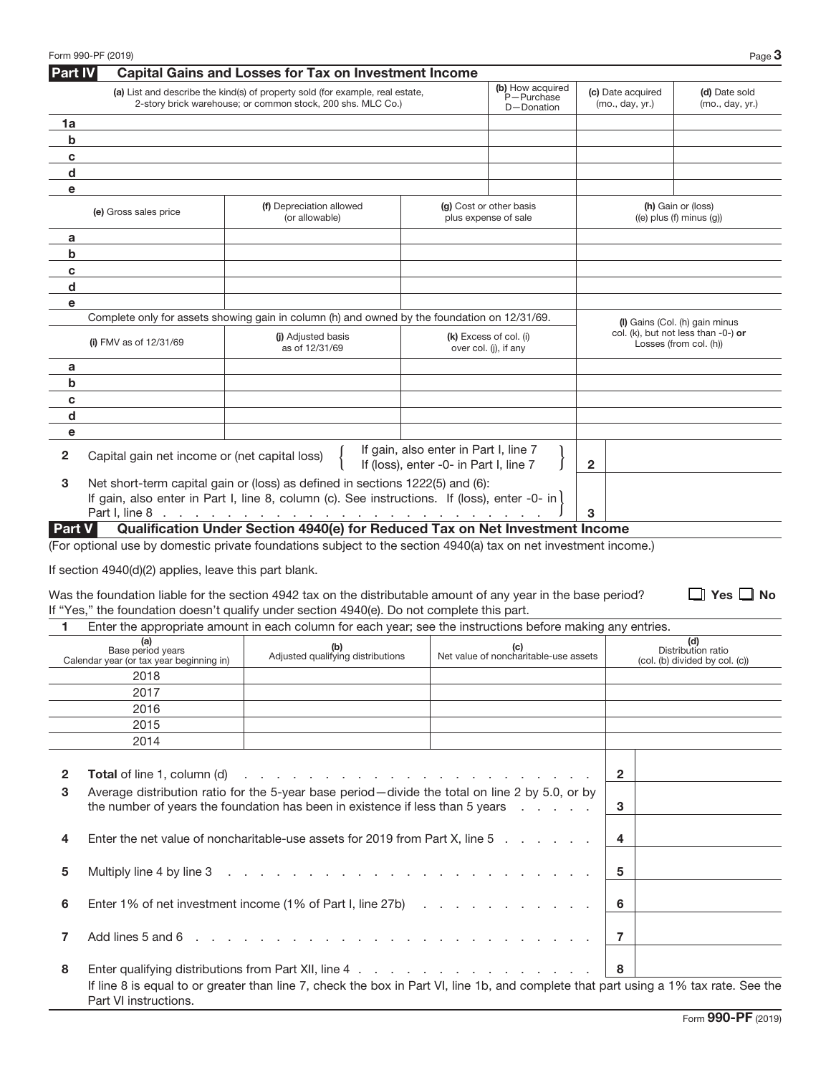| <b>Part IV</b> | Form 990-PF (2019)                                                   | <b>Capital Gains and Losses for Tax on Investment Income</b>                                                                                                                                                                   |                                                                                 |                                                 |                                      | Page 3                                                        |
|----------------|----------------------------------------------------------------------|--------------------------------------------------------------------------------------------------------------------------------------------------------------------------------------------------------------------------------|---------------------------------------------------------------------------------|-------------------------------------------------|--------------------------------------|---------------------------------------------------------------|
|                |                                                                      | (a) List and describe the kind(s) of property sold (for example, real estate,<br>2-story brick warehouse; or common stock, 200 shs. MLC Co.)                                                                                   |                                                                                 | (b) How acquired<br>P-Purchase<br>D-Donation    | (c) Date acquired<br>(mo., day, yr.) | (d) Date sold<br>(mo., day, yr.)                              |
| 1a             |                                                                      |                                                                                                                                                                                                                                |                                                                                 |                                                 |                                      |                                                               |
| $\mathbf b$    |                                                                      |                                                                                                                                                                                                                                |                                                                                 |                                                 |                                      |                                                               |
| C              |                                                                      |                                                                                                                                                                                                                                |                                                                                 |                                                 |                                      |                                                               |
| d              |                                                                      |                                                                                                                                                                                                                                |                                                                                 |                                                 |                                      |                                                               |
| е              |                                                                      |                                                                                                                                                                                                                                |                                                                                 |                                                 |                                      |                                                               |
|                | (e) Gross sales price                                                | (f) Depreciation allowed<br>(or allowable)                                                                                                                                                                                     |                                                                                 | (g) Cost or other basis<br>plus expense of sale |                                      | (h) Gain or (loss)<br>$((e)$ plus $(f)$ minus $(g)$           |
| a              |                                                                      |                                                                                                                                                                                                                                |                                                                                 |                                                 |                                      |                                                               |
| b              |                                                                      |                                                                                                                                                                                                                                |                                                                                 |                                                 |                                      |                                                               |
| C              |                                                                      |                                                                                                                                                                                                                                |                                                                                 |                                                 |                                      |                                                               |
| d              |                                                                      |                                                                                                                                                                                                                                |                                                                                 |                                                 |                                      |                                                               |
| е              |                                                                      |                                                                                                                                                                                                                                |                                                                                 |                                                 |                                      |                                                               |
|                |                                                                      | Complete only for assets showing gain in column (h) and owned by the foundation on 12/31/69.                                                                                                                                   |                                                                                 |                                                 |                                      | (I) Gains (Col. (h) gain minus                                |
|                | (i) FMV as of $12/31/69$                                             | (i) Adjusted basis<br>as of 12/31/69                                                                                                                                                                                           |                                                                                 | (k) Excess of col. (i)<br>over col. (j), if any |                                      | col. (k), but not less than -0-) or<br>Losses (from col. (h)) |
| a              |                                                                      |                                                                                                                                                                                                                                |                                                                                 |                                                 |                                      |                                                               |
| b              |                                                                      |                                                                                                                                                                                                                                |                                                                                 |                                                 |                                      |                                                               |
| C              |                                                                      |                                                                                                                                                                                                                                |                                                                                 |                                                 |                                      |                                                               |
| d              |                                                                      |                                                                                                                                                                                                                                |                                                                                 |                                                 |                                      |                                                               |
| e              |                                                                      |                                                                                                                                                                                                                                |                                                                                 |                                                 |                                      |                                                               |
| 2              | Capital gain net income or (net capital loss)                        |                                                                                                                                                                                                                                | If gain, also enter in Part I, line 7<br>If (loss), enter -0- in Part I, line 7 |                                                 | $\mathbf{2}$                         |                                                               |
| 3              |                                                                      | Net short-term capital gain or (loss) as defined in sections 1222(5) and (6):<br>If gain, also enter in Part I, line 8, column (c). See instructions. If (loss), enter -0- in                                                  |                                                                                 |                                                 |                                      |                                                               |
|                | Part I, line 8                                                       | and a complete the complete state of the complete state of the complete state of the complete state of the complete state of the complete state of the complete state of the complete state of the complete state of the compl |                                                                                 |                                                 | 3                                    |                                                               |
| Part V         |                                                                      | Qualification Under Section 4940(e) for Reduced Tax on Net Investment Income<br>(For optional use by domestic private foundations subject to the section 4940(a) tax on net investment income.)                                |                                                                                 |                                                 |                                      |                                                               |
|                | If section 4940(d)(2) applies, leave this part blank.                | Was the foundation liable for the section 4942 tax on the distributable amount of any year in the base period?<br>If "Yes," the foundation doesn't qualify under section 4940(e). Do not complete this part.                   |                                                                                 |                                                 |                                      | $\Box$ Yes $\Box$ No                                          |
| 1              |                                                                      | Enter the appropriate amount in each column for each year; see the instructions before making any entries.                                                                                                                     |                                                                                 |                                                 |                                      |                                                               |
|                | (a)<br>Base period years<br>Calendar year (or tax year beginning in) | <b>(c)</b><br>Adjusted qualifying distributions<br>Net value of noncharitable-use assets                                                                                                                                       |                                                                                 |                                                 |                                      | (d)<br>Distribution ratio<br>(col. (b) divided by col. (c))   |
|                | 2018                                                                 |                                                                                                                                                                                                                                |                                                                                 |                                                 |                                      |                                                               |
|                | 2017                                                                 |                                                                                                                                                                                                                                |                                                                                 |                                                 |                                      |                                                               |
|                | 2016                                                                 |                                                                                                                                                                                                                                |                                                                                 |                                                 |                                      |                                                               |
|                | 2015                                                                 |                                                                                                                                                                                                                                |                                                                                 |                                                 |                                      |                                                               |
|                | 2014                                                                 |                                                                                                                                                                                                                                |                                                                                 |                                                 |                                      |                                                               |
|                |                                                                      |                                                                                                                                                                                                                                |                                                                                 |                                                 |                                      |                                                               |
| 2              | <b>Total</b> of line 1, column (d)                                   | a construction of the construction of the construction of the construction of the construction of the construction of the construction of the construction of the construction of the construction of the construction of the  |                                                                                 |                                                 | $\overline{2}$                       |                                                               |
| 3              |                                                                      | Average distribution ratio for the 5-year base period-divide the total on line 2 by 5.0, or by<br>the number of years the foundation has been in existence if less than 5 years                                                |                                                                                 |                                                 | 3                                    |                                                               |
| 4              |                                                                      | Enter the net value of noncharitable-use assets for 2019 from Part X, line 5                                                                                                                                                   |                                                                                 |                                                 | 4                                    |                                                               |
| 5              | Multiply line 4 by line 3                                            |                                                                                                                                                                                                                                |                                                                                 |                                                 | 5                                    |                                                               |
| 6              |                                                                      | Enter 1% of net investment income (1% of Part I, line 27b)                                                                                                                                                                     |                                                                                 |                                                 | 6                                    |                                                               |
| 7              | Add lines 5 and 6                                                    | and the company of the company of the company of the company of the company of the company of the company of the company of the company of the company of the company of the company of the company of the company of the comp |                                                                                 |                                                 | $\overline{7}$                       |                                                               |
| 8              |                                                                      |                                                                                                                                                                                                                                |                                                                                 |                                                 | 8                                    |                                                               |
|                | Part VI instructions.                                                | If line 8 is equal to or greater than line 7, check the box in Part VI, line 1b, and complete that part using a 1% tax rate. See the                                                                                           |                                                                                 |                                                 |                                      |                                                               |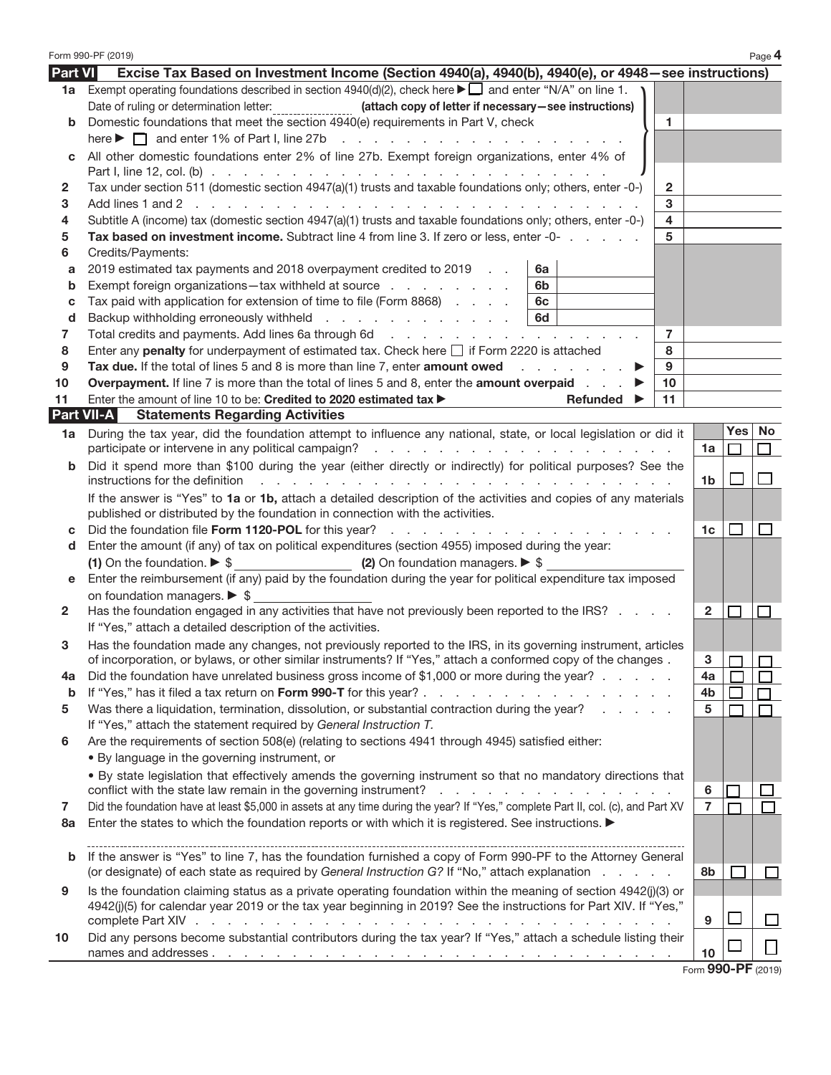|                | Form 990-PF (2019)                                                                                                                                                                                                                                                |                    |                | Page 4       |  |  |
|----------------|-------------------------------------------------------------------------------------------------------------------------------------------------------------------------------------------------------------------------------------------------------------------|--------------------|----------------|--------------|--|--|
| <b>Part VI</b> | Excise Tax Based on Investment Income (Section 4940(a), 4940(b), 4940(e), or 4948–see instructions)                                                                                                                                                               |                    |                |              |  |  |
| 1a l           | Exempt operating foundations described in section $4940(d)(2)$ , check here $\blacktriangleright$ and enter "N/A" on line 1.                                                                                                                                      |                    |                |              |  |  |
|                |                                                                                                                                                                                                                                                                   |                    |                |              |  |  |
| b              | Domestic foundations that meet the section 4940(e) requirements in Part V, check<br>$\blacktriangleleft$                                                                                                                                                          |                    |                |              |  |  |
|                |                                                                                                                                                                                                                                                                   |                    |                |              |  |  |
| C              | All other domestic foundations enter 2% of line 27b. Exempt foreign organizations, enter 4% of                                                                                                                                                                    |                    |                |              |  |  |
|                |                                                                                                                                                                                                                                                                   |                    |                |              |  |  |
| 2              | Tax under section 511 (domestic section 4947(a)(1) trusts and taxable foundations only; others, enter -0-)<br>$\mathbf{2}$                                                                                                                                        |                    |                |              |  |  |
| 3              | 3                                                                                                                                                                                                                                                                 |                    |                |              |  |  |
| 4              | Subtitle A (income) tax (domestic section 4947(a)(1) trusts and taxable foundations only; others, enter -0-)<br>$\overline{4}$                                                                                                                                    |                    |                |              |  |  |
| 5              | Tax based on investment income. Subtract line 4 from line 3. If zero or less, enter -0-<br>5                                                                                                                                                                      |                    |                |              |  |  |
| 6              | Credits/Payments:                                                                                                                                                                                                                                                 |                    |                |              |  |  |
| a              | 2019 estimated tax payments and 2018 overpayment credited to 2019<br>6a                                                                                                                                                                                           |                    |                |              |  |  |
| $\mathbf b$    | Exempt foreign organizations-tax withheld at source<br>6b                                                                                                                                                                                                         |                    |                |              |  |  |
| c              | Tax paid with application for extension of time to file (Form 8868)<br>6c                                                                                                                                                                                         |                    |                |              |  |  |
| d              | Backup withholding erroneously withheld<br>6d                                                                                                                                                                                                                     |                    |                |              |  |  |
| 7              | Total credits and payments. Add lines 6a through 6d<br>$\overline{7}$                                                                                                                                                                                             |                    |                |              |  |  |
| 8              | Enter any penalty for underpayment of estimated tax. Check here [ if Form 2220 is attached<br>8                                                                                                                                                                   |                    |                |              |  |  |
| 9              | Tax due. If the total of lines 5 and 8 is more than line 7, enter amount owed<br>9                                                                                                                                                                                |                    |                |              |  |  |
| 10             | <b>Overpayment.</b> If line 7 is more than the total of lines 5 and 8, enter the <b>amount overpaid</b><br>10                                                                                                                                                     |                    |                |              |  |  |
| 11             | Enter the amount of line 10 to be: Credited to 2020 estimated tax ><br>11<br>Refunded                                                                                                                                                                             |                    |                |              |  |  |
|                | <b>Part VII-A</b><br><b>Statements Regarding Activities</b>                                                                                                                                                                                                       |                    |                |              |  |  |
| 1a             | During the tax year, did the foundation attempt to influence any national, state, or local legislation or did it                                                                                                                                                  |                    | Yes            | No           |  |  |
|                |                                                                                                                                                                                                                                                                   | 1a                 |                | П            |  |  |
| b              | Did it spend more than \$100 during the year (either directly or indirectly) for political purposes? See the                                                                                                                                                      |                    |                |              |  |  |
|                | instructions for the definition<br>the contract of the contract of the contract of the contract of the contract of the contract of the contract of the contract of the contract of the contract of the contract of the contract of the contract of the contract o | 1b.                |                |              |  |  |
|                | If the answer is "Yes" to 1a or 1b, attach a detailed description of the activities and copies of any materials                                                                                                                                                   |                    |                |              |  |  |
|                | published or distributed by the foundation in connection with the activities.                                                                                                                                                                                     |                    |                |              |  |  |
| c              |                                                                                                                                                                                                                                                                   | 1c                 | $\blacksquare$ | ப            |  |  |
| d              | Enter the amount (if any) of tax on political expenditures (section 4955) imposed during the year:                                                                                                                                                                |                    |                |              |  |  |
|                | (1) On the foundation. $\triangleright$ \$ (2) On foundation managers. $\triangleright$ \$                                                                                                                                                                        |                    |                |              |  |  |
| е              | Enter the reimbursement (if any) paid by the foundation during the year for political expenditure tax imposed                                                                                                                                                     |                    |                |              |  |  |
|                | on foundation managers. $\triangleright$ \$                                                                                                                                                                                                                       |                    |                |              |  |  |
| $\mathbf{2}$   | Has the foundation engaged in any activities that have not previously been reported to the IRS?                                                                                                                                                                   | $\mathbf{2}$       | $\mathsf{L}$   |              |  |  |
|                | If "Yes," attach a detailed description of the activities.                                                                                                                                                                                                        |                    |                |              |  |  |
| З              | Has the foundation made any changes, not previously reported to the IRS, in its governing instrument, articles                                                                                                                                                    |                    |                |              |  |  |
|                | of incorporation, or bylaws, or other similar instruments? If "Yes," attach a conformed copy of the changes.                                                                                                                                                      | З                  |                |              |  |  |
| 4a             | Did the foundation have unrelated business gross income of \$1,000 or more during the year?                                                                                                                                                                       | 4a                 |                |              |  |  |
| $\mathbf b$    |                                                                                                                                                                                                                                                                   | 4b                 |                |              |  |  |
| 5              | Was there a liquidation, termination, dissolution, or substantial contraction during the year?                                                                                                                                                                    | 5                  |                |              |  |  |
|                | If "Yes," attach the statement required by General Instruction T.                                                                                                                                                                                                 |                    |                |              |  |  |
| 6              | Are the requirements of section 508(e) (relating to sections 4941 through 4945) satisfied either:                                                                                                                                                                 |                    |                |              |  |  |
|                | . By language in the governing instrument, or                                                                                                                                                                                                                     |                    |                |              |  |  |
|                | . By state legislation that effectively amends the governing instrument so that no mandatory directions that                                                                                                                                                      |                    |                |              |  |  |
|                | conflict with the state law remain in the governing instrument? $\ldots$ , $\ldots$ , $\ldots$ , $\ldots$ , $\ldots$                                                                                                                                              | 6                  |                |              |  |  |
| 7              | Did the foundation have at least \$5,000 in assets at any time during the year? If "Yes," complete Part II, col. (c), and Part XV                                                                                                                                 | $\overline{7}$     |                |              |  |  |
| 8а             | Enter the states to which the foundation reports or with which it is registered. See instructions.                                                                                                                                                                |                    |                |              |  |  |
|                |                                                                                                                                                                                                                                                                   |                    |                |              |  |  |
| b              | If the answer is "Yes" to line 7, has the foundation furnished a copy of Form 990-PF to the Attorney General                                                                                                                                                      |                    |                |              |  |  |
|                | (or designate) of each state as required by General Instruction G? If "No," attach explanation                                                                                                                                                                    | 8b                 |                |              |  |  |
| 9              | Is the foundation claiming status as a private operating foundation within the meaning of section 4942(j)(3) or                                                                                                                                                   |                    |                |              |  |  |
|                | 4942(j)(5) for calendar year 2019 or the tax year beginning in 2019? See the instructions for Part XIV. If "Yes,"                                                                                                                                                 |                    |                |              |  |  |
|                |                                                                                                                                                                                                                                                                   | 9                  |                | $\mathbf{L}$ |  |  |
| 10             | Did any persons become substantial contributors during the tax year? If "Yes," attach a schedule listing their                                                                                                                                                    |                    |                |              |  |  |
|                |                                                                                                                                                                                                                                                                   | 10                 |                | l l          |  |  |
|                |                                                                                                                                                                                                                                                                   | Form 990-PF (2019) |                |              |  |  |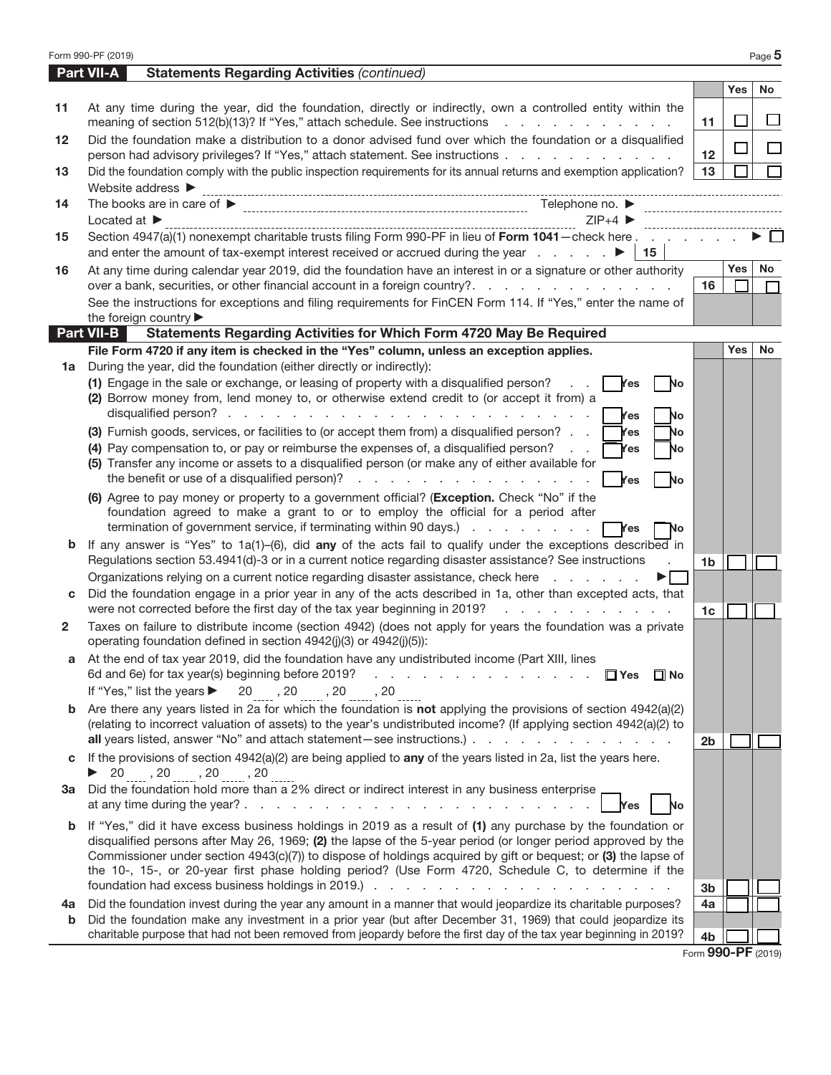|             | Form 990-PF (2019)                                                                                                                                                                                                                                                                                         |                |            | Page 5             |
|-------------|------------------------------------------------------------------------------------------------------------------------------------------------------------------------------------------------------------------------------------------------------------------------------------------------------------|----------------|------------|--------------------|
|             | <b>Part VII-A</b><br><b>Statements Regarding Activities (continued)</b>                                                                                                                                                                                                                                    |                |            |                    |
|             |                                                                                                                                                                                                                                                                                                            |                | Yes        | No                 |
| 11          | At any time during the year, did the foundation, directly or indirectly, own a controlled entity within the<br>meaning of section 512(b)(13)? If "Yes," attach schedule. See instructions                                                                                                                  | 11             |            | $\mathsf{L}$       |
| $12 \,$     | Did the foundation make a distribution to a donor advised fund over which the foundation or a disqualified                                                                                                                                                                                                 |                |            |                    |
| 13          | person had advisory privileges? If "Yes," attach statement. See instructions<br>Did the foundation comply with the public inspection requirements for its annual returns and exemption application?                                                                                                        | 12<br>13       |            |                    |
|             | Website address ▶                                                                                                                                                                                                                                                                                          |                |            |                    |
| 14          |                                                                                                                                                                                                                                                                                                            |                |            |                    |
|             | $ZIP+4$<br>Located at $\blacktriangleright$                                                                                                                                                                                                                                                                |                |            |                    |
| 15          | Section 4947(a)(1) nonexempt charitable trusts filing Form 990-PF in lieu of Form 1041-check here                                                                                                                                                                                                          |                |            |                    |
|             | $\vert$ 15                                                                                                                                                                                                                                                                                                 |                |            |                    |
| 16          | At any time during calendar year 2019, did the foundation have an interest in or a signature or other authority                                                                                                                                                                                            |                | Yes        | No                 |
|             | over a bank, securities, or other financial account in a foreign country?<br>See the instructions for exceptions and filing requirements for FinCEN Form 114. If "Yes," enter the name of                                                                                                                  | 16             |            | П                  |
|             | the foreign country                                                                                                                                                                                                                                                                                        |                |            |                    |
|             | <b>Part VII-B</b><br>Statements Regarding Activities for Which Form 4720 May Be Required                                                                                                                                                                                                                   |                |            |                    |
|             | File Form 4720 if any item is checked in the "Yes" column, unless an exception applies.                                                                                                                                                                                                                    |                | <b>Yes</b> | No                 |
| 1a          | During the year, did the foundation (either directly or indirectly):                                                                                                                                                                                                                                       |                |            |                    |
|             | (1) Engage in the sale or exchange, or leasing of property with a disqualified person?<br>Yes<br>No                                                                                                                                                                                                        |                |            |                    |
|             | (2) Borrow money from, lend money to, or otherwise extend credit to (or accept it from) a                                                                                                                                                                                                                  |                |            |                    |
|             | <b>Yes</b><br>No<br>(3) Furnish goods, services, or facilities to (or accept them from) a disqualified person?<br><b>Yes</b><br>No                                                                                                                                                                         |                |            |                    |
|             | (4) Pay compensation to, or pay or reimburse the expenses of, a disqualified person?<br>$\mathcal{L}^{\text{max}}$<br>Yes.<br>No                                                                                                                                                                           |                |            |                    |
|             | (5) Transfer any income or assets to a disqualified person (or make any of either available for                                                                                                                                                                                                            |                |            |                    |
|             | the benefit or use of a disqualified person)?<br>Yes<br><b>No</b>                                                                                                                                                                                                                                          |                |            |                    |
|             | (6) Agree to pay money or property to a government official? (Exception. Check "No" if the                                                                                                                                                                                                                 |                |            |                    |
|             | foundation agreed to make a grant to or to employ the official for a period after<br>termination of government service, if terminating within 90 days.)<br>Yes<br>No                                                                                                                                       |                |            |                    |
| b           | If any answer is "Yes" to $1a(1)$ -(6), did any of the acts fail to qualify under the exceptions described in                                                                                                                                                                                              |                |            |                    |
|             | Regulations section 53.4941(d)-3 or in a current notice regarding disaster assistance? See instructions                                                                                                                                                                                                    | 1 <sub>b</sub> |            |                    |
|             | Organizations relying on a current notice regarding disaster assistance, check here                                                                                                                                                                                                                        |                |            |                    |
| С           | Did the foundation engage in a prior year in any of the acts described in 1a, other than excepted acts, that                                                                                                                                                                                               |                |            |                    |
|             | were not corrected before the first day of the tax year beginning in 2019?<br>and the company of the company of                                                                                                                                                                                            | 1 <sub>c</sub> |            |                    |
| 2           | Taxes on failure to distribute income (section 4942) (does not apply for years the foundation was a private<br>operating foundation defined in section 4942(j)(3) or 4942(j)(5)):                                                                                                                          |                |            |                    |
|             | At the end of tax year 2019, did the foundation have any undistributed income (Part XIII, lines                                                                                                                                                                                                            |                |            |                    |
|             | 6d and 6e) for tax year(s) beginning before 2019?<br>a construction of the construction of the construction of the construction of the construction of the construction of the construction of the construction of the construction of the construction of the construction of the<br>$\Box$ Yes $\Box$ No |                |            |                    |
|             | If "Yes," list the years ▶<br>$20$ , $20$ , $20$ , $20$                                                                                                                                                                                                                                                    |                |            |                    |
| $\mathbf b$ | Are there any years listed in 2a for which the foundation is not applying the provisions of section $4942(a)(2)$<br>(relating to incorrect valuation of assets) to the year's undistributed income? (If applying section 4942(a)(2) to                                                                     |                |            |                    |
|             | all years listed, answer "No" and attach statement - see instructions.)                                                                                                                                                                                                                                    | 2 <sub>b</sub> |            |                    |
| C           | If the provisions of section $4942(a)(2)$ are being applied to any of the years listed in 2a, list the years here.                                                                                                                                                                                         |                |            |                    |
|             | $\triangleright$ 20, 20, 20, 20, 20                                                                                                                                                                                                                                                                        |                |            |                    |
|             | 3a Did the foundation hold more than a 2% direct or indirect interest in any business enterprise                                                                                                                                                                                                           |                |            |                    |
|             | at any time during the year? $\ldots$ $\ldots$ $\ldots$ $\ldots$ $\ldots$ $\ldots$ $\ldots$ $\ldots$ $\ldots$<br>No<br><b>Yes</b>                                                                                                                                                                          |                |            |                    |
| $\mathbf b$ | If "Yes," did it have excess business holdings in 2019 as a result of (1) any purchase by the foundation or<br>disqualified persons after May 26, 1969; (2) the lapse of the 5-year period (or longer period approved by the                                                                               |                |            |                    |
|             | Commissioner under section 4943(c)(7)) to dispose of holdings acquired by gift or bequest; or (3) the lapse of                                                                                                                                                                                             |                |            |                    |
|             | the 10-, 15-, or 20-year first phase holding period? (Use Form 4720, Schedule C, to determine if the                                                                                                                                                                                                       |                |            |                    |
|             |                                                                                                                                                                                                                                                                                                            | 3 <sub>b</sub> |            |                    |
| 4a          | Did the foundation invest during the year any amount in a manner that would jeopardize its charitable purposes?                                                                                                                                                                                            | 4a             |            |                    |
| b           | Did the foundation make any investment in a prior year (but after December 31, 1969) that could jeopardize its<br>charitable purpose that had not been removed from jeopardy before the first day of the tax year beginning in 2019?                                                                       |                |            |                    |
|             |                                                                                                                                                                                                                                                                                                            | 4b             |            | Form 990-PF (2019) |
|             |                                                                                                                                                                                                                                                                                                            |                |            |                    |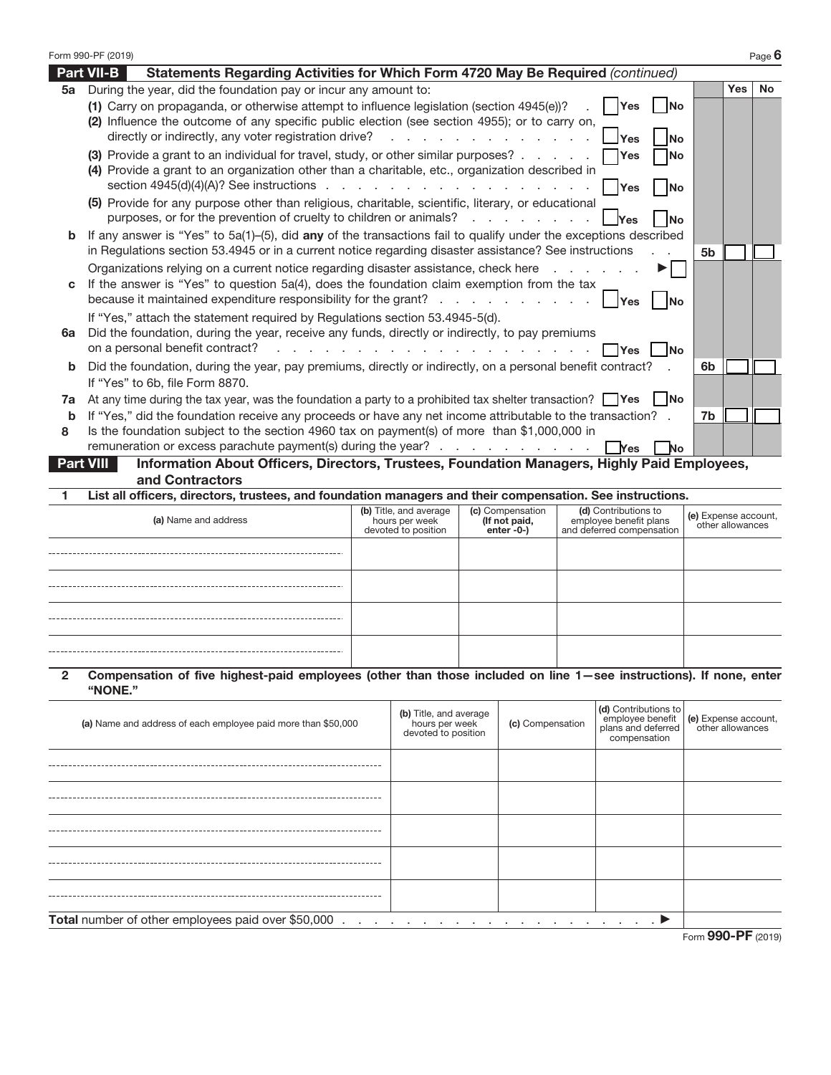|              | Form 990-PF (2019) |                                                                                                                                                                                                                                                                                                                                                                                               |                                                                 |                                                 |                                                                                |             |                      |                  | Page $6$ |
|--------------|--------------------|-----------------------------------------------------------------------------------------------------------------------------------------------------------------------------------------------------------------------------------------------------------------------------------------------------------------------------------------------------------------------------------------------|-----------------------------------------------------------------|-------------------------------------------------|--------------------------------------------------------------------------------|-------------|----------------------|------------------|----------|
|              | <b>Part VII-B</b>  | Statements Regarding Activities for Which Form 4720 May Be Required (continued)                                                                                                                                                                                                                                                                                                               |                                                                 |                                                 |                                                                                |             |                      |                  |          |
| 5a           |                    | During the year, did the foundation pay or incur any amount to:<br>(1) Carry on propaganda, or otherwise attempt to influence legislation (section 4945(e))?<br>(2) Influence the outcome of any specific public election (see section 4955); or to carry on,<br>directly or indirectly, any voter registration drive?                                                                        | and the contract of the contract of the                         |                                                 | Yes<br><b>IYes</b>                                                             | lNo<br>No   |                      | <b>Yes</b>       | No       |
|              |                    | (3) Provide a grant to an individual for travel, study, or other similar purposes?<br>(4) Provide a grant to an organization other than a charitable, etc., organization described in                                                                                                                                                                                                         |                                                                 |                                                 | <b>IYes</b><br><b>Press</b>                                                    | lNo<br>lNo  |                      |                  |          |
|              |                    | (5) Provide for any purpose other than religious, charitable, scientific, literary, or educational<br>purposes, or for the prevention of cruelty to children or animals?                                                                                                                                                                                                                      |                                                                 |                                                 |                                                                                |             |                      |                  |          |
| b            |                    | If any answer is "Yes" to 5a(1)–(5), did any of the transactions fail to qualify under the exceptions described<br>in Regulations section 53.4945 or in a current notice regarding disaster assistance? See instructions                                                                                                                                                                      |                                                                 |                                                 |                                                                                |             | 5b                   |                  |          |
| C            |                    | Organizations relying on a current notice regarding disaster assistance, check here<br>If the answer is "Yes" to question 5a(4), does the foundation claim exemption from the tax<br>because it maintained expenditure responsibility for the grant?                                                                                                                                          |                                                                 |                                                 | <b>IYes</b>                                                                    |             |                      |                  |          |
| 6a           |                    | If "Yes," attach the statement required by Regulations section 53.4945-5(d).<br>Did the foundation, during the year, receive any funds, directly or indirectly, to pay premiums<br>on a personal benefit contract?<br>the contract of the contract of the contract of the contract of the                                                                                                     |                                                                 |                                                 | <b>Yes</b>                                                                     | lNo.        |                      |                  |          |
|              |                    | <b>b</b> Did the foundation, during the year, pay premiums, directly or indirectly, on a personal benefit contract?<br>If "Yes" to 6b, file Form 8870.                                                                                                                                                                                                                                        |                                                                 |                                                 |                                                                                |             | 6b                   |                  |          |
| 7a<br>b<br>8 |                    | At any time during the tax year, was the foundation a party to a prohibited tax shelter transaction? $\Box$ Yes<br>If "Yes," did the foundation receive any proceeds or have any net income attributable to the transaction? .<br>Is the foundation subject to the section 4960 tax on payment(s) of more than \$1,000,000 in<br>remuneration or excess parachute payment(s) during the year? |                                                                 |                                                 | l Yes                                                                          | l INo<br>No | 7b                   |                  |          |
|              | <b>Part VIII</b>   | Information About Officers, Directors, Trustees, Foundation Managers, Highly Paid Employees,<br>and Contractors                                                                                                                                                                                                                                                                               |                                                                 |                                                 |                                                                                |             |                      |                  |          |
| 1            |                    | List all officers, directors, trustees, and foundation managers and their compensation. See instructions.                                                                                                                                                                                                                                                                                     |                                                                 |                                                 |                                                                                |             |                      |                  |          |
|              |                    | (a) Name and address                                                                                                                                                                                                                                                                                                                                                                          | (b) Title, and average<br>hours per week<br>devoted to position | (c) Compensation<br>(If not paid,<br>enter -0-) | (d) Contributions to<br>employee benefit plans<br>and deferred compensation    |             | (e) Expense account, | other allowances |          |
|              |                    |                                                                                                                                                                                                                                                                                                                                                                                               |                                                                 |                                                 |                                                                                |             |                      |                  |          |
|              |                    |                                                                                                                                                                                                                                                                                                                                                                                               |                                                                 |                                                 |                                                                                |             |                      |                  |          |
|              |                    |                                                                                                                                                                                                                                                                                                                                                                                               |                                                                 |                                                 |                                                                                |             |                      |                  |          |
|              |                    |                                                                                                                                                                                                                                                                                                                                                                                               |                                                                 |                                                 |                                                                                |             |                      |                  |          |
| $\mathbf{2}$ | "NONE."            | Compensation of five highest-paid employees (other than those included on line 1-see instructions). If none, enter                                                                                                                                                                                                                                                                            |                                                                 |                                                 |                                                                                |             |                      |                  |          |
|              |                    | (a) Name and address of each employee paid more than \$50,000                                                                                                                                                                                                                                                                                                                                 | (b) Title, and average<br>hours per week<br>devoted to position | (c) Compensation                                | (d) Contributions to<br>employee benefit<br>plans and deferred<br>compensation |             | (e) Expense account, | other allowances |          |
|              |                    |                                                                                                                                                                                                                                                                                                                                                                                               |                                                                 |                                                 |                                                                                |             |                      |                  |          |
|              |                    |                                                                                                                                                                                                                                                                                                                                                                                               |                                                                 |                                                 |                                                                                |             |                      |                  |          |
|              |                    |                                                                                                                                                                                                                                                                                                                                                                                               |                                                                 |                                                 |                                                                                |             |                      |                  |          |
|              |                    |                                                                                                                                                                                                                                                                                                                                                                                               |                                                                 |                                                 |                                                                                |             |                      |                  |          |

**Total** number of other employees paid over \$50,000 .................... a

|  |  |  |  | Form 990-PF (2019) |
|--|--|--|--|--------------------|
|--|--|--|--|--------------------|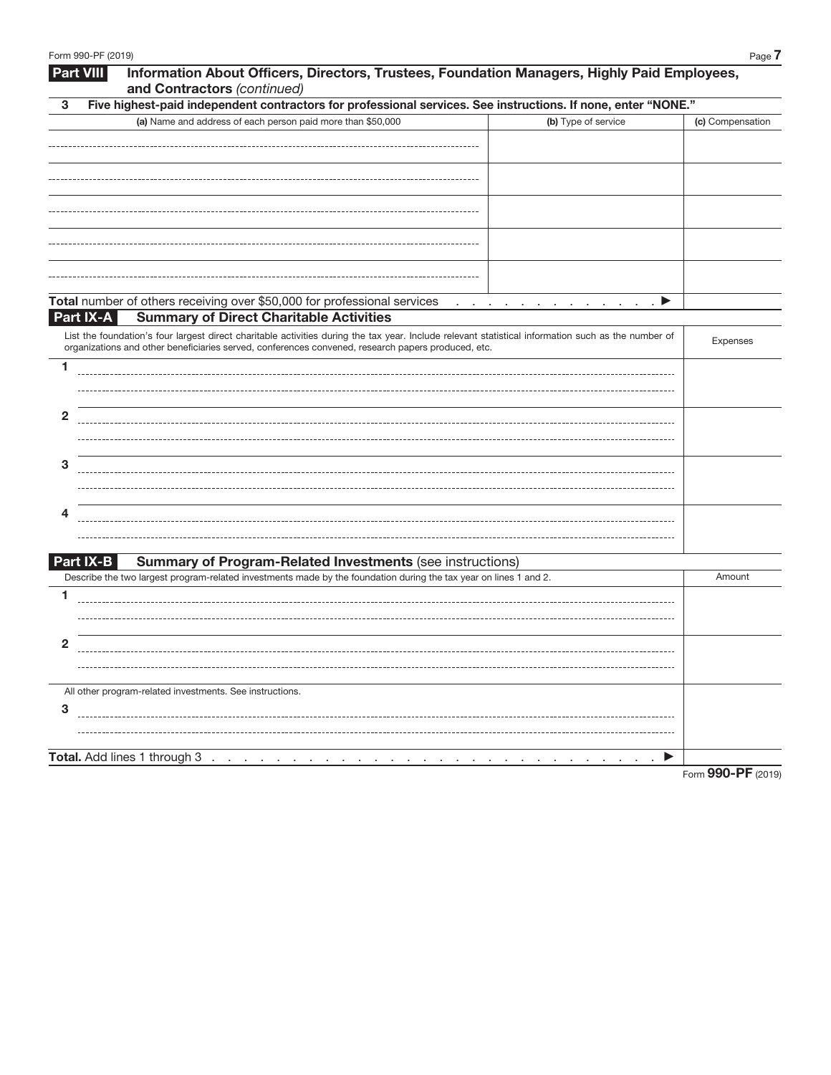| Form 990-PF (2019)                                                                                                                                                                                                                                        | Page 7           |
|-----------------------------------------------------------------------------------------------------------------------------------------------------------------------------------------------------------------------------------------------------------|------------------|
| Information About Officers, Directors, Trustees, Foundation Managers, Highly Paid Employees,<br><b>Part VIII</b><br>and Contractors (continued)                                                                                                           |                  |
| Five highest-paid independent contractors for professional services. See instructions. If none, enter "NONE."<br>3                                                                                                                                        |                  |
| (a) Name and address of each person paid more than \$50,000<br>(b) Type of service                                                                                                                                                                        | (c) Compensation |
|                                                                                                                                                                                                                                                           |                  |
|                                                                                                                                                                                                                                                           |                  |
|                                                                                                                                                                                                                                                           |                  |
|                                                                                                                                                                                                                                                           |                  |
|                                                                                                                                                                                                                                                           |                  |
|                                                                                                                                                                                                                                                           |                  |
|                                                                                                                                                                                                                                                           |                  |
|                                                                                                                                                                                                                                                           |                  |
|                                                                                                                                                                                                                                                           |                  |
| Total number of others receiving over \$50,000 for professional services<br>$\ldots$ $\blacktriangleright$<br>and a series of the contract of the contract of                                                                                             |                  |
| <b>Summary of Direct Charitable Activities</b><br>Part IX-A                                                                                                                                                                                               |                  |
| List the foundation's four largest direct charitable activities during the tax year. Include relevant statistical information such as the number of<br>organizations and other beneficiaries served, conferences convened, research papers produced, etc. | Expenses         |
| 1                                                                                                                                                                                                                                                         |                  |
|                                                                                                                                                                                                                                                           |                  |
|                                                                                                                                                                                                                                                           |                  |
| 2                                                                                                                                                                                                                                                         |                  |
|                                                                                                                                                                                                                                                           |                  |
| 3                                                                                                                                                                                                                                                         |                  |
|                                                                                                                                                                                                                                                           |                  |
|                                                                                                                                                                                                                                                           |                  |
| 4                                                                                                                                                                                                                                                         |                  |
|                                                                                                                                                                                                                                                           |                  |
| Part IX-B<br><b>Summary of Program-Related Investments (see instructions)</b>                                                                                                                                                                             |                  |
| Describe the two largest program-related investments made by the foundation during the tax year on lines 1 and 2.                                                                                                                                         | Amount           |
| 1                                                                                                                                                                                                                                                         |                  |
|                                                                                                                                                                                                                                                           |                  |
|                                                                                                                                                                                                                                                           |                  |
| 2                                                                                                                                                                                                                                                         |                  |
|                                                                                                                                                                                                                                                           |                  |
|                                                                                                                                                                                                                                                           |                  |
| All other program-related investments. See instructions.<br>3                                                                                                                                                                                             |                  |
|                                                                                                                                                                                                                                                           |                  |
|                                                                                                                                                                                                                                                           |                  |
| Total. Add lines 1 through 3<br>$\sim$                                                                                                                                                                                                                    |                  |
|                                                                                                                                                                                                                                                           |                  |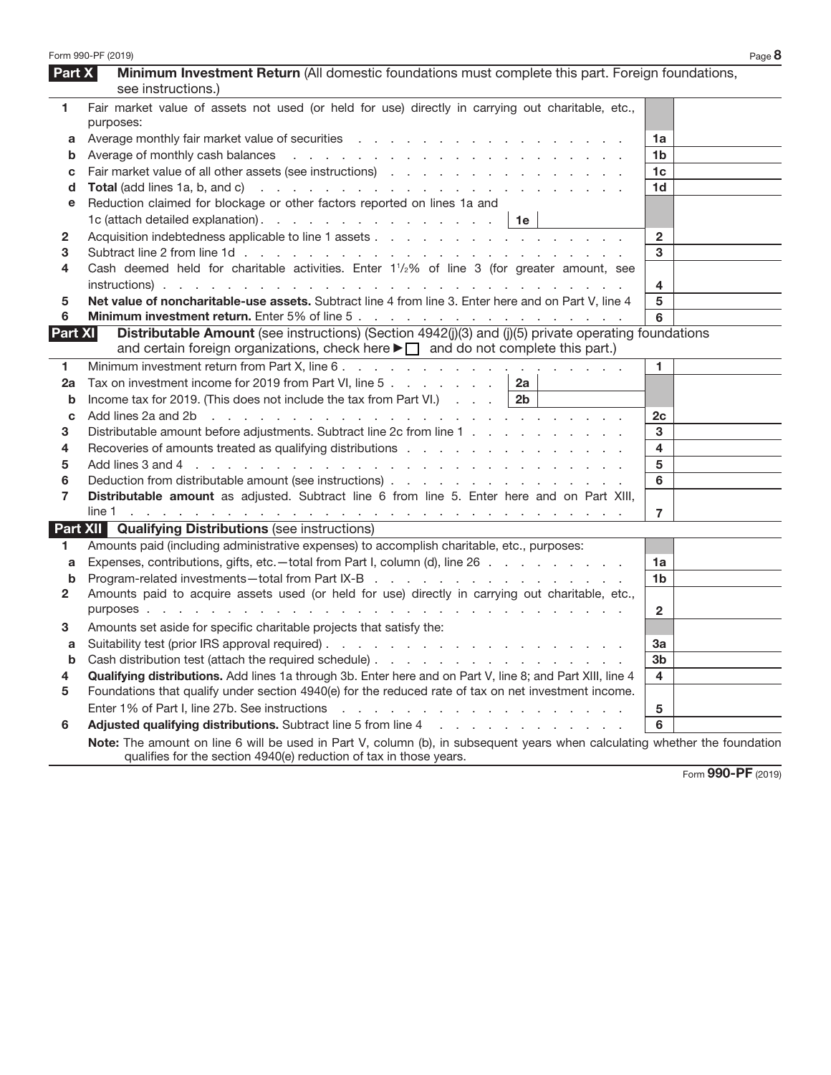|                | Form 990-PF (2019)                                                                                                                                                                                                             |                | Page 8 |
|----------------|--------------------------------------------------------------------------------------------------------------------------------------------------------------------------------------------------------------------------------|----------------|--------|
| Part X         | Minimum Investment Return (All domestic foundations must complete this part. Foreign foundations,                                                                                                                              |                |        |
|                | see instructions.)                                                                                                                                                                                                             |                |        |
| 1              | Fair market value of assets not used (or held for use) directly in carrying out charitable, etc.,                                                                                                                              |                |        |
|                | purposes:                                                                                                                                                                                                                      |                |        |
| а              |                                                                                                                                                                                                                                | 1a             |        |
| b              |                                                                                                                                                                                                                                | 1b             |        |
| с              |                                                                                                                                                                                                                                | 1c             |        |
| d              |                                                                                                                                                                                                                                | 1d             |        |
| е              | Reduction claimed for blockage or other factors reported on lines 1a and                                                                                                                                                       |                |        |
|                | 1c (attach detailed explanation).   1e                                                                                                                                                                                         |                |        |
| $\mathbf{2}$   |                                                                                                                                                                                                                                | $\overline{2}$ |        |
| 3              |                                                                                                                                                                                                                                | 3              |        |
| 4              | Cash deemed held for charitable activities. Enter 1 <sup>1</sup> / <sub>2</sub> % of line 3 (for greater amount, see                                                                                                           |                |        |
|                |                                                                                                                                                                                                                                | 4              |        |
| 5              | Net value of noncharitable-use assets. Subtract line 4 from line 3. Enter here and on Part V, line 4                                                                                                                           | 5              |        |
| 6              |                                                                                                                                                                                                                                | 6              |        |
| <b>Part XI</b> | Distributable Amount (see instructions) (Section 4942(j)(3) and (j)(5) private operating foundations                                                                                                                           |                |        |
|                | and certain foreign organizations, check here $\blacktriangleright \square$ and do not complete this part.)                                                                                                                    |                |        |
| 1              |                                                                                                                                                                                                                                | 1.             |        |
| 2a             | Tax on investment income for 2019 from Part VI, line 5 $\ldots$ $\ldots$ $\ldots$ $\ldots$   2a                                                                                                                                |                |        |
| b              | Income tax for 2019. (This does not include the tax from Part VI.) $\therefore$ 2b                                                                                                                                             |                |        |
| с              | Add lines 2a and 2b r and r and r and r and r and r and r and r and r and r and r and r and r and r and r and r and r and r and r and r and r and r and r and r and r and r and r and r and r and r and r and r and r and r an | 2c             |        |
| 3              | Distributable amount before adjustments. Subtract line 2c from line 1                                                                                                                                                          | 3              |        |
| 4              | Recoveries of amounts treated as qualifying distributions                                                                                                                                                                      | 4              |        |
| 5              |                                                                                                                                                                                                                                | 5              |        |
| 6              | Deduction from distributable amount (see instructions)                                                                                                                                                                         | 6              |        |
| $\overline{7}$ | Distributable amount as adjusted. Subtract line 6 from line 5. Enter here and on Part XIII,                                                                                                                                    |                |        |
|                |                                                                                                                                                                                                                                | $\overline{7}$ |        |
|                | <b>Part XII Qualifying Distributions (see instructions)</b>                                                                                                                                                                    |                |        |
| 1.             | Amounts paid (including administrative expenses) to accomplish charitable, etc., purposes:                                                                                                                                     |                |        |
| a              | Expenses, contributions, gifts, etc.—total from Part I, column (d), line 26                                                                                                                                                    | 1a             |        |
| b              | Program-related investments-total from Part IX-B                                                                                                                                                                               | 1b             |        |
| 2              | Amounts paid to acquire assets used (or held for use) directly in carrying out charitable, etc.,                                                                                                                               |                |        |
|                |                                                                                                                                                                                                                                | $\mathbf{2}$   |        |
| 3              | Amounts set aside for specific charitable projects that satisfy the:                                                                                                                                                           |                |        |
| а              |                                                                                                                                                                                                                                | За             |        |
|                | Cash distribution test (attach the required schedule)                                                                                                                                                                          | 3 <sub>b</sub> |        |
| 4              | Qualifying distributions. Add lines 1a through 3b. Enter here and on Part V, line 8; and Part XIII, line 4                                                                                                                     | 4              |        |
| 5              | Foundations that qualify under section 4940(e) for the reduced rate of tax on net investment income.                                                                                                                           |                |        |
|                | Enter 1% of Part I, line 27b. See instructions<br>the second contract of the contract of the contract of the contract of                                                                                                       | 5              |        |
| 6              | Adjusted qualifying distributions. Subtract line 5 from line 4 manufacturers and contact the state of the state of the state of the state of the state of the state of the state of the state of the state of the state of the | 6              |        |
|                | Note: The amount on line 6 will be used in Part V, column (b), in subsequent years when calculating whether the foundation<br>qualifies for the section 4940(e) reduction of tax in those years.                               |                |        |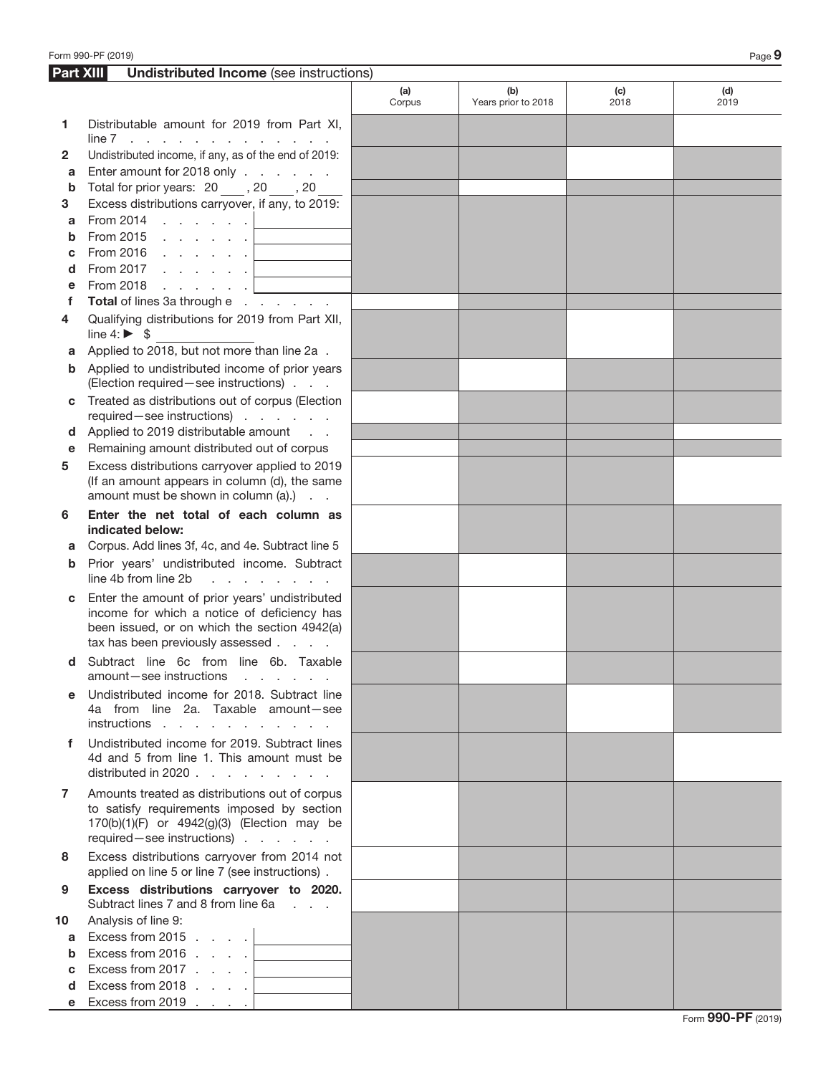|                  | Form 990-PF (2019)                                                                                                                                                                |               |                            |             | Page 9      |
|------------------|-----------------------------------------------------------------------------------------------------------------------------------------------------------------------------------|---------------|----------------------------|-------------|-------------|
| <b>Part XIII</b> | <b>Undistributed Income (see instructions)</b>                                                                                                                                    |               |                            |             |             |
|                  |                                                                                                                                                                                   | (a)<br>Corpus | (b)<br>Years prior to 2018 | (c)<br>2018 | (d)<br>2019 |
| 1                | Distributable amount for 2019 from Part XI,<br>$line 7$                                                                                                                           |               |                            |             |             |
| 2                | Undistributed income, if any, as of the end of 2019:                                                                                                                              |               |                            |             |             |
| a                | Enter amount for 2018 only                                                                                                                                                        |               |                            |             |             |
| b                | Total for prior years: 20 ____, 20 ____, 20                                                                                                                                       |               |                            |             |             |
| 3                | Excess distributions carryover, if any, to 2019:                                                                                                                                  |               |                            |             |             |
| a                | From 2014 $\ldots$ $\ldots$ $\ldots$                                                                                                                                              |               |                            |             |             |
| b                | From 2015 $\, \cdot \,$ $\, \cdot \,$ $\, \cdot \,$ $\, \cdot \,$ $\,$ $\,$ $\,$                                                                                                  |               |                            |             |             |
| с<br>d           | From 2016 $\ldots$ $\ldots$ $\ldots$<br>From 2017 $\ldots$ $\ldots$ $\ldots$                                                                                                      |               |                            |             |             |
| е                |                                                                                                                                                                                   |               |                            |             |             |
| f                | Total of lines 3a through e                                                                                                                                                       |               |                            |             |             |
| 4                | Qualifying distributions for 2019 from Part XII,                                                                                                                                  |               |                            |             |             |
|                  | line $4: \triangleright$ \$                                                                                                                                                       |               |                            |             |             |
| a                | Applied to 2018, but not more than line 2a.                                                                                                                                       |               |                            |             |             |
| b                | Applied to undistributed income of prior years<br>(Election required - see instructions)                                                                                          |               |                            |             |             |
| С                | Treated as distributions out of corpus (Election<br>required-see instructions)                                                                                                    |               |                            |             |             |
| d                | Applied to 2019 distributable amount                                                                                                                                              |               |                            |             |             |
| е                | Remaining amount distributed out of corpus                                                                                                                                        |               |                            |             |             |
| 5                | Excess distributions carryover applied to 2019<br>(If an amount appears in column (d), the same<br>amount must be shown in column (a).)                                           |               |                            |             |             |
| 6                | Enter the net total of each column as<br>indicated below:                                                                                                                         |               |                            |             |             |
| a                | Corpus. Add lines 3f, 4c, and 4e. Subtract line 5                                                                                                                                 |               |                            |             |             |
| b                | Prior years' undistributed income. Subtract<br>line 4b from line 2b<br>the company of the company of                                                                              |               |                            |             |             |
| C                | Enter the amount of prior years' undistributed<br>income for which a notice of deficiency has<br>been issued, or on which the section 4942(a)<br>tax has been previously assessed |               |                            |             |             |
| d                | Subtract line 6c from line 6b. Taxable<br>amount-see instructions<br>and the company of the company of                                                                            |               |                            |             |             |
| е                | Undistributed income for 2018. Subtract line<br>4a from line 2a. Taxable amount-see<br>instructions                                                                               |               |                            |             |             |
| f                | Undistributed income for 2019. Subtract lines<br>4d and 5 from line 1. This amount must be<br>distributed in 2020 $\ldots$ $\ldots$ $\ldots$ $\ldots$                             |               |                            |             |             |
| $\mathbf{7}$     | Amounts treated as distributions out of corpus<br>to satisfy requirements imposed by section<br>170(b)(1)(F) or 4942(g)(3) (Election may be<br>required - see instructions)       |               |                            |             |             |
| 8                | Excess distributions carryover from 2014 not<br>applied on line 5 or line 7 (see instructions).                                                                                   |               |                            |             |             |
| 9                | Excess distributions carryover to 2020.<br>Subtract lines 7 and 8 from line 6a                                                                                                    |               |                            |             |             |
| 10               | Analysis of line 9:                                                                                                                                                               |               |                            |             |             |
| a                | Excess from 2015 $\ldots$ .                                                                                                                                                       |               |                            |             |             |
| b                | Excess from 2016 $\ldots$ .                                                                                                                                                       |               |                            |             |             |
| с                | Excess from 2017 $\ldots$ .                                                                                                                                                       |               |                            |             |             |
| d                | Excess from 2018 $\ldots$ .                                                                                                                                                       |               |                            |             |             |
| e                | Excess from 2019 $\ldots$ .                                                                                                                                                       |               |                            |             |             |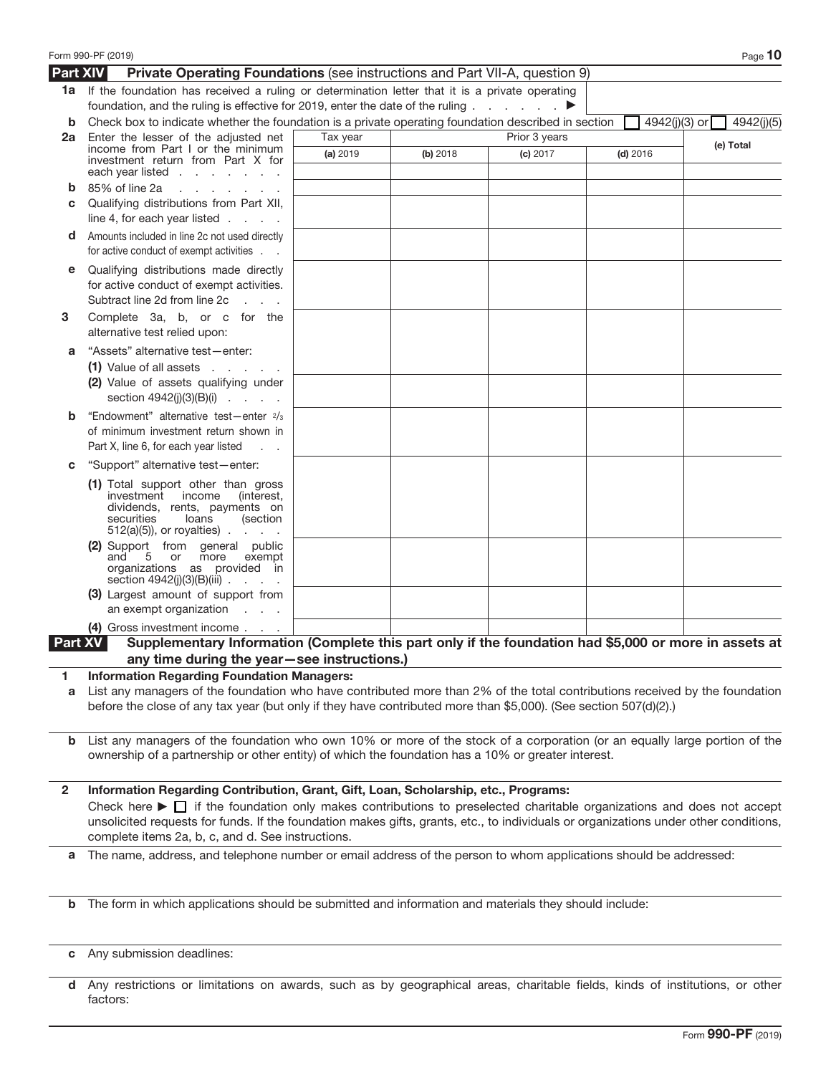|                 | Form 990-PF (2019)                                                                                                                                                                                                                                                                                                                          |          |          |               |               | Page 10    |
|-----------------|---------------------------------------------------------------------------------------------------------------------------------------------------------------------------------------------------------------------------------------------------------------------------------------------------------------------------------------------|----------|----------|---------------|---------------|------------|
| <b>Part XIV</b> | Private Operating Foundations (see instructions and Part VII-A, question 9)                                                                                                                                                                                                                                                                 |          |          |               |               |            |
|                 | 1a If the foundation has received a ruling or determination letter that it is a private operating<br>foundation, and the ruling is effective for 2019, enter the date of the ruling $\ldots$ $\ldots$                                                                                                                                       |          |          |               |               |            |
| b               | Check box to indicate whether the foundation is a private operating foundation described in section                                                                                                                                                                                                                                         |          |          |               | 4942(j)(3) or | 4942(j)(5) |
| 2a              | Enter the lesser of the adjusted net                                                                                                                                                                                                                                                                                                        | Tax year |          | Prior 3 years |               |            |
|                 | income from Part I or the minimum<br>investment return from Part X for<br>each year listed $\ldots$ $\ldots$ $\ldots$                                                                                                                                                                                                                       | (a) 2019 | (b) 2018 | (c) 2017      | $(d)$ 2016    | (e) Total  |
| b               | 85% of line 2a<br>and a state of the state of the                                                                                                                                                                                                                                                                                           |          |          |               |               |            |
| С               | Qualifying distributions from Part XII,<br>line 4, for each year listed $\ldots$ .                                                                                                                                                                                                                                                          |          |          |               |               |            |
| d               | Amounts included in line 2c not used directly<br>for active conduct of exempt activities                                                                                                                                                                                                                                                    |          |          |               |               |            |
| е               | Qualifying distributions made directly<br>for active conduct of exempt activities.<br>Subtract line 2d from line 2c<br>$\mathcal{L}=\mathcal{L}=\mathcal{L}$                                                                                                                                                                                |          |          |               |               |            |
| 3               | Complete 3a, b, or c for the<br>alternative test relied upon:                                                                                                                                                                                                                                                                               |          |          |               |               |            |
| а               | "Assets" alternative test-enter:<br>$(1)$ Value of all assets $\ldots$ $\ldots$                                                                                                                                                                                                                                                             |          |          |               |               |            |
|                 | (2) Value of assets qualifying under<br>section $4942(j)(3)(B)(i)$                                                                                                                                                                                                                                                                          |          |          |               |               |            |
| b               | "Endowment" alternative test-enter 2/3<br>of minimum investment return shown in                                                                                                                                                                                                                                                             |          |          |               |               |            |
|                 | Part X, line 6, for each year listed                                                                                                                                                                                                                                                                                                        |          |          |               |               |            |
| С               | "Support" alternative test-enter:                                                                                                                                                                                                                                                                                                           |          |          |               |               |            |
|                 | (1) Total support other than gross<br>investment income<br>(interest,<br>dividends, rents, payments on<br>securities<br>loans<br>(section<br>$512(a)(5)$ , or royalties)                                                                                                                                                                    |          |          |               |               |            |
|                 | (2) Support from general public<br>5 or more<br>exempt<br>and<br>organizations as provided in<br>section $4942(j)(3)(B)(iii)$                                                                                                                                                                                                               |          |          |               |               |            |
|                 | (3) Largest amount of support from<br>an exempt organization $\ldots$                                                                                                                                                                                                                                                                       |          |          |               |               |            |
|                 | (4) Gross investment income                                                                                                                                                                                                                                                                                                                 |          |          |               |               |            |
| Part XV         | Supplementary Information (Complete this part only if the foundation had \$5,000 or more in assets at                                                                                                                                                                                                                                       |          |          |               |               |            |
|                 | any time during the year-see instructions.)                                                                                                                                                                                                                                                                                                 |          |          |               |               |            |
| 1<br>а          | <b>Information Regarding Foundation Managers:</b><br>List any managers of the foundation who have contributed more than 2% of the total contributions received by the foundation<br>before the close of any tax year (but only if they have contributed more than \$5,000). (See section 507(d)(2).)                                        |          |          |               |               |            |
| b               | List any managers of the foundation who own 10% or more of the stock of a corporation (or an equally large portion of the<br>ownership of a partnership or other entity) of which the foundation has a 10% or greater interest.                                                                                                             |          |          |               |               |            |
| $\mathbf{2}$    | Information Regarding Contribution, Grant, Gift, Loan, Scholarship, etc., Programs:                                                                                                                                                                                                                                                         |          |          |               |               |            |
|                 | Check here $\blacktriangleright$ $\Box$ if the foundation only makes contributions to preselected charitable organizations and does not accept<br>unsolicited requests for funds. If the foundation makes gifts, grants, etc., to individuals or organizations under other conditions,<br>complete items 2a, b, c, and d. See instructions. |          |          |               |               |            |
| а               | The name, address, and telephone number or email address of the person to whom applications should be addressed:                                                                                                                                                                                                                            |          |          |               |               |            |
|                 |                                                                                                                                                                                                                                                                                                                                             |          |          |               |               |            |
| b               | The form in which applications should be submitted and information and materials they should include:                                                                                                                                                                                                                                       |          |          |               |               |            |
| С               | Any submission deadlines:                                                                                                                                                                                                                                                                                                                   |          |          |               |               |            |
|                 |                                                                                                                                                                                                                                                                                                                                             |          |          |               |               |            |

**d** Any restrictions or limitations on awards, such as by geographical areas, charitable fields, kinds of institutions, or other factors: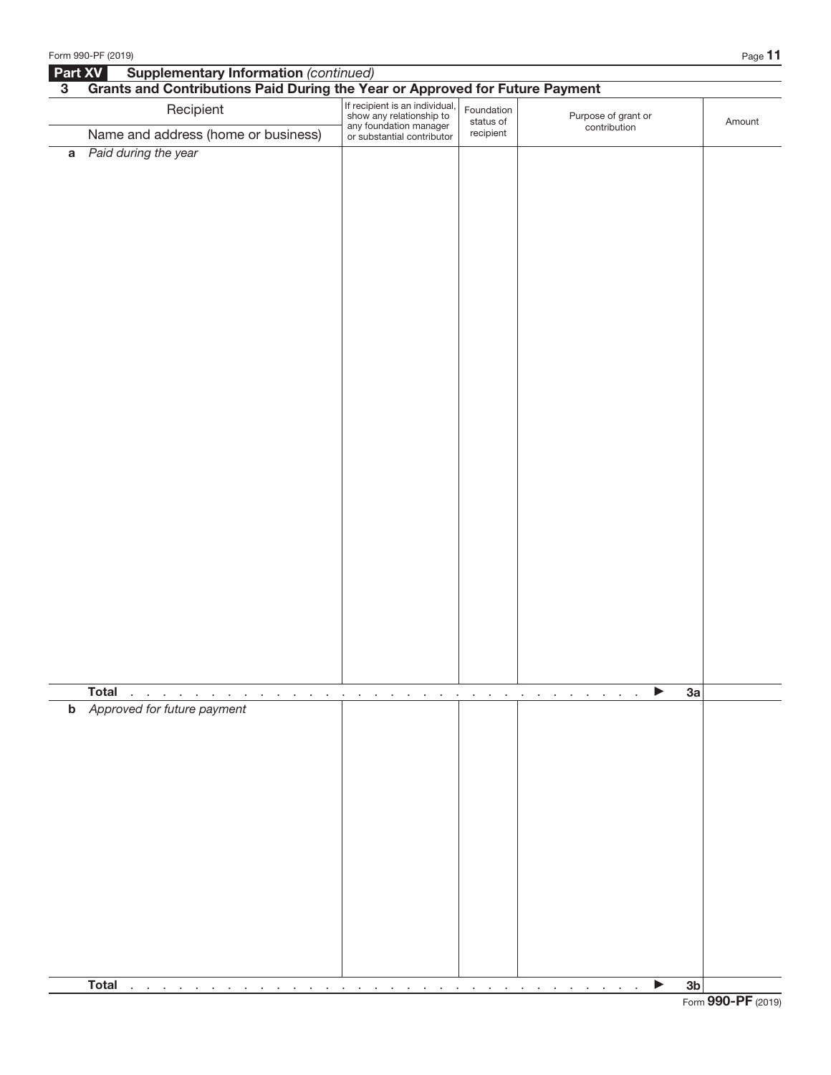|                | Form 990-PF (2019)                                                                                                                                                                                                             |                                                                                                                    |                                                     |                                     | Page 11       |
|----------------|--------------------------------------------------------------------------------------------------------------------------------------------------------------------------------------------------------------------------------|--------------------------------------------------------------------------------------------------------------------|-----------------------------------------------------|-------------------------------------|---------------|
| Part XV        | <b>Supplementary Information (continued)</b>                                                                                                                                                                                   |                                                                                                                    |                                                     |                                     |               |
| 3 <sup>1</sup> | Grants and Contributions Paid During the Year or Approved for Future Payment                                                                                                                                                   |                                                                                                                    |                                                     |                                     |               |
|                | Recipient                                                                                                                                                                                                                      | If recipient is an individual,<br>show any relationship to<br>any foundation manager<br>or substantial contributor | Foundation<br>status of                             | Purpose of grant or<br>contribution | Amount        |
|                | Name and address (home or business)                                                                                                                                                                                            |                                                                                                                    | recipient                                           |                                     |               |
|                | a Paid during the year                                                                                                                                                                                                         |                                                                                                                    |                                                     |                                     |               |
|                |                                                                                                                                                                                                                                |                                                                                                                    |                                                     |                                     |               |
|                | <b>Total</b><br>$\sim$<br>$\sim$<br>the contract of the contract of the contract of the                                                                                                                                        | <b>Contract Contract</b>                                                                                           | and a series of the contract of the contract of the | ▶<br>$\sim$<br>$\sim$<br>$\sim$     | 3a            |
|                | <b>b</b> Approved for future payment                                                                                                                                                                                           |                                                                                                                    |                                                     |                                     |               |
|                | <b>Total</b><br>n.                                                                                                                                                                                                             |                                                                                                                    |                                                     | ▶                                   | $3\mathsf{b}$ |
|                | and the company of the company of the company of the company of the company of the company of the company of the company of the company of the company of the company of the company of the company of the company of the comp |                                                                                                                    |                                                     |                                     |               |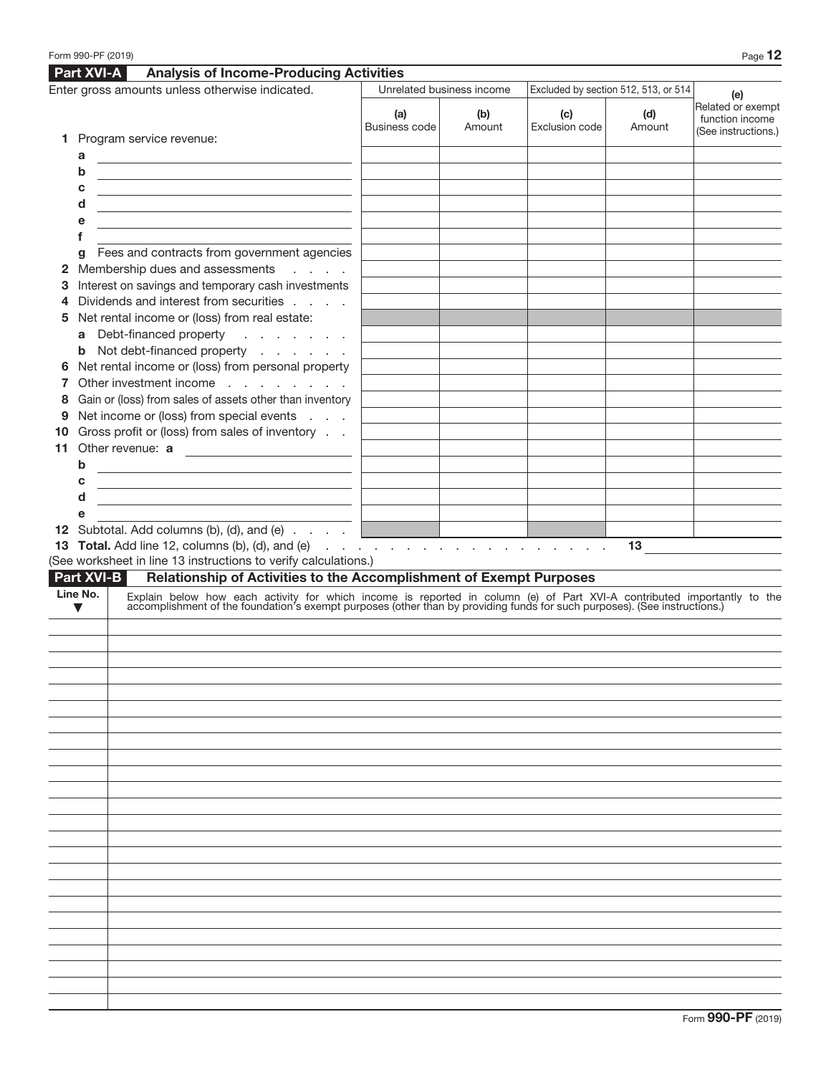|                                                 |                      | Form 990-PF (2019)                                                                                                                                                                                                            |                           |                                      |                       |               | Page 12                                                     |
|-------------------------------------------------|----------------------|-------------------------------------------------------------------------------------------------------------------------------------------------------------------------------------------------------------------------------|---------------------------|--------------------------------------|-----------------------|---------------|-------------------------------------------------------------|
|                                                 | <b>Part XVI-A</b>    | <b>Analysis of Income-Producing Activities</b>                                                                                                                                                                                |                           |                                      |                       |               |                                                             |
| Enter gross amounts unless otherwise indicated. |                      |                                                                                                                                                                                                                               | Unrelated business income | Excluded by section 512, 513, or 514 | (e)                   |               |                                                             |
|                                                 |                      |                                                                                                                                                                                                                               | (a)<br>Business code      | (b)<br>Amount                        | (c)<br>Exclusion code | (d)<br>Amount | Related or exempt<br>function income<br>(See instructions.) |
|                                                 |                      | 1 Program service revenue:                                                                                                                                                                                                    |                           |                                      |                       |               |                                                             |
|                                                 | а                    |                                                                                                                                                                                                                               |                           |                                      |                       |               |                                                             |
|                                                 | b                    | <u> 1980 - Johann Stoff, fransk politik (d. 1980)</u>                                                                                                                                                                         |                           |                                      |                       |               |                                                             |
|                                                 | с                    | <u> 1989 - Johann Barbara, martxa eta batarra (h. 1989).</u>                                                                                                                                                                  |                           |                                      |                       |               |                                                             |
|                                                 | d                    | <u> 1989 - Johann Barbara, marka a shekara tsa 1989 - An tsa 1989 - An tsa 1989 - An tsa 1989 - An tsa 1989 - An</u>                                                                                                          |                           |                                      |                       |               |                                                             |
|                                                 | е                    | the control of the control of the control of the control of the control of the control of                                                                                                                                     |                           |                                      |                       |               |                                                             |
|                                                 | f                    | Fees and contracts from government agencies                                                                                                                                                                                   |                           |                                      |                       |               |                                                             |
| 2                                               | g                    | Membership dues and assessments<br><b>Service</b> State                                                                                                                                                                       |                           |                                      |                       |               |                                                             |
| З                                               |                      | Interest on savings and temporary cash investments                                                                                                                                                                            |                           |                                      |                       |               |                                                             |
| 4                                               |                      | Dividends and interest from securities                                                                                                                                                                                        |                           |                                      |                       |               |                                                             |
| 5                                               |                      | Net rental income or (loss) from real estate:                                                                                                                                                                                 |                           |                                      |                       |               |                                                             |
|                                                 |                      | a Debt-financed property<br>and the company of the second                                                                                                                                                                     |                           |                                      |                       |               |                                                             |
|                                                 |                      | <b>b</b> Not debt-financed property                                                                                                                                                                                           |                           |                                      |                       |               |                                                             |
| 6                                               |                      | Net rental income or (loss) from personal property                                                                                                                                                                            |                           |                                      |                       |               |                                                             |
|                                                 |                      | Other investment income                                                                                                                                                                                                       |                           |                                      |                       |               |                                                             |
| 8                                               |                      | Gain or (loss) from sales of assets other than inventory                                                                                                                                                                      |                           |                                      |                       |               |                                                             |
| 9                                               |                      | Net income or (loss) from special events                                                                                                                                                                                      |                           |                                      |                       |               |                                                             |
| 10                                              |                      | Gross profit or (loss) from sales of inventory                                                                                                                                                                                |                           |                                      |                       |               |                                                             |
| 11                                              |                      | Other revenue: a                                                                                                                                                                                                              |                           |                                      |                       |               |                                                             |
|                                                 | b                    | the control of the control of the control of the control of the control of                                                                                                                                                    |                           |                                      |                       |               |                                                             |
|                                                 | с                    | <u> 1989 - Johann Barn, mars ann an t-Amhain Aonaich an t-Aonaich an t-Aonaich an t-Aonaich an t-Aonaich an t-Aon</u>                                                                                                         |                           |                                      |                       |               |                                                             |
|                                                 | d                    | <u> 1989 - Johann Stein, mars an deutscher Stein und der Stein und der Stein und der Stein und der Stein und der</u>                                                                                                          |                           |                                      |                       |               |                                                             |
|                                                 | е                    |                                                                                                                                                                                                                               |                           |                                      |                       |               |                                                             |
|                                                 |                      | 12 Subtotal. Add columns (b), (d), and (e)                                                                                                                                                                                    |                           |                                      |                       |               |                                                             |
|                                                 |                      | (See worksheet in line 13 instructions to verify calculations.)                                                                                                                                                               |                           |                                      |                       | 13            |                                                             |
|                                                 | Part XVI-B           | Relationship of Activities to the Accomplishment of Exempt Purposes                                                                                                                                                           |                           |                                      |                       |               |                                                             |
|                                                 | Line No.             |                                                                                                                                                                                                                               |                           |                                      |                       |               |                                                             |
|                                                 | $\blacktriangledown$ | Explain below how each activity for which income is reported in column (e) of Part XVI-A contributed importantly to the accomplishment of the foundation's exempt purposes (other than by providing funds for such purposes). |                           |                                      |                       |               |                                                             |
|                                                 |                      |                                                                                                                                                                                                                               |                           |                                      |                       |               |                                                             |
|                                                 |                      |                                                                                                                                                                                                                               |                           |                                      |                       |               |                                                             |
|                                                 |                      |                                                                                                                                                                                                                               |                           |                                      |                       |               |                                                             |
|                                                 |                      |                                                                                                                                                                                                                               |                           |                                      |                       |               |                                                             |
|                                                 |                      |                                                                                                                                                                                                                               |                           |                                      |                       |               |                                                             |
|                                                 |                      |                                                                                                                                                                                                                               |                           |                                      |                       |               |                                                             |
|                                                 |                      |                                                                                                                                                                                                                               |                           |                                      |                       |               |                                                             |
|                                                 |                      |                                                                                                                                                                                                                               |                           |                                      |                       |               |                                                             |
|                                                 |                      |                                                                                                                                                                                                                               |                           |                                      |                       |               |                                                             |
|                                                 |                      |                                                                                                                                                                                                                               |                           |                                      |                       |               |                                                             |
|                                                 |                      |                                                                                                                                                                                                                               |                           |                                      |                       |               |                                                             |
|                                                 |                      |                                                                                                                                                                                                                               |                           |                                      |                       |               |                                                             |
|                                                 |                      |                                                                                                                                                                                                                               |                           |                                      |                       |               |                                                             |
|                                                 |                      |                                                                                                                                                                                                                               |                           |                                      |                       |               |                                                             |
|                                                 |                      |                                                                                                                                                                                                                               |                           |                                      |                       |               |                                                             |
|                                                 |                      |                                                                                                                                                                                                                               |                           |                                      |                       |               |                                                             |
|                                                 |                      |                                                                                                                                                                                                                               |                           |                                      |                       |               |                                                             |
|                                                 |                      |                                                                                                                                                                                                                               |                           |                                      |                       |               |                                                             |
|                                                 |                      |                                                                                                                                                                                                                               |                           |                                      |                       |               |                                                             |
|                                                 |                      |                                                                                                                                                                                                                               |                           |                                      |                       |               |                                                             |
|                                                 |                      |                                                                                                                                                                                                                               |                           |                                      |                       |               |                                                             |
|                                                 |                      |                                                                                                                                                                                                                               |                           |                                      |                       |               |                                                             |
|                                                 |                      |                                                                                                                                                                                                                               |                           |                                      |                       |               |                                                             |